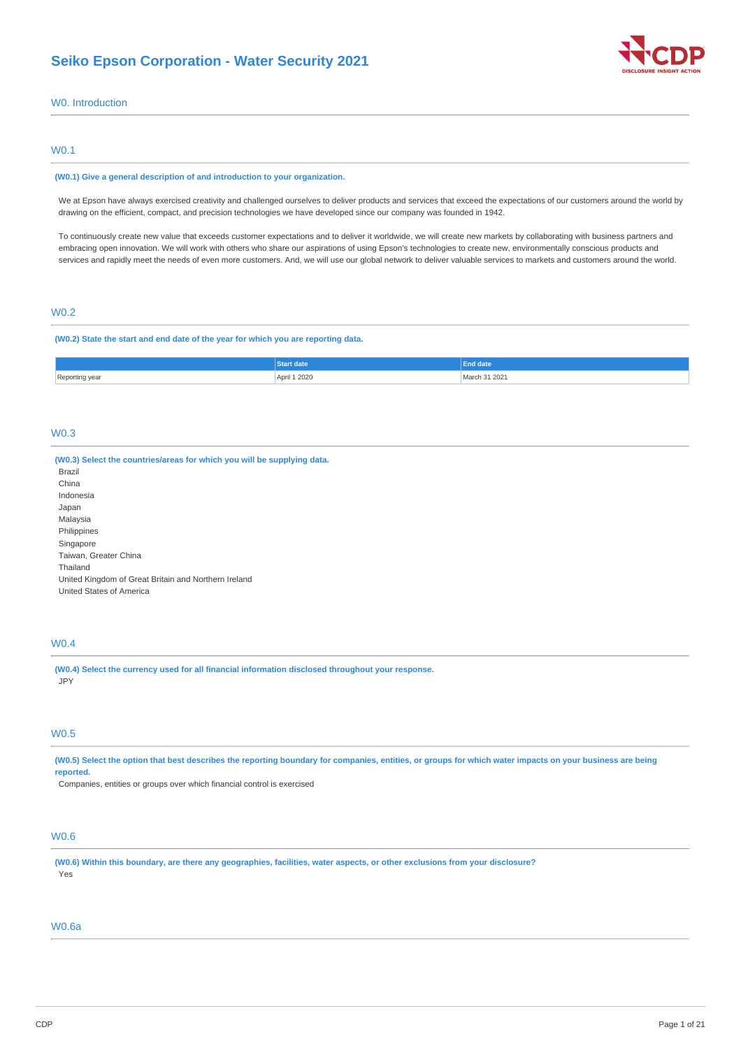

## W0. Introduction

### W0.1

#### **(W0.1) Give a general description of and introduction to your organization.**

We at Epson have always exercised creativity and challenged ourselves to deliver products and services that exceed the expectations of our customers around the world by drawing on the efficient, compact, and precision technologies we have developed since our company was founded in 1942.

To continuously create new value that exceeds customer expectations and to deliver it worldwide, we will create new markets by collaborating with business partners and embracing open innovation. We will work with others who share our aspirations of using Epson's technologies to create new, environmentally conscious products and services and rapidly meet the needs of even more customers. And, we will use our global network to deliver valuable services to markets and customers around the world.

## W0.2

#### **(W0.2) State the start and end date of the year for which you are reporting data.**

|                  | , date      |                 |
|------------------|-------------|-----------------|
| Reporting<br>vea | pril 1 2020 | 202<br>$00$ $0$ |

### W0.3

| (W0.3) Select the countries/areas for which you will be supplying data. |
|-------------------------------------------------------------------------|
| Brazil                                                                  |
| China                                                                   |
| Indonesia                                                               |
| Japan                                                                   |
| Malaysia                                                                |
| Philippines                                                             |
| Singapore                                                               |
| Taiwan, Greater China                                                   |
| Thailand                                                                |
| United Kingdom of Great Britain and Northern Ireland                    |
| United States of America                                                |
|                                                                         |
|                                                                         |

## W0.4

**(W0.4) Select the currency used for all financial information disclosed throughout your response.** JPY

### W0.5

(W0.5) Select the option that best describes the reporting boundary for companies, entities, or groups for which water impacts on your business are being **reported.**

Companies, entities or groups over which financial control is exercised

## W0.6

(W0.6) Within this boundary, are there any geographies, facilities, water aspects, or other exclusions from your disclosure? Yes

### W0.6a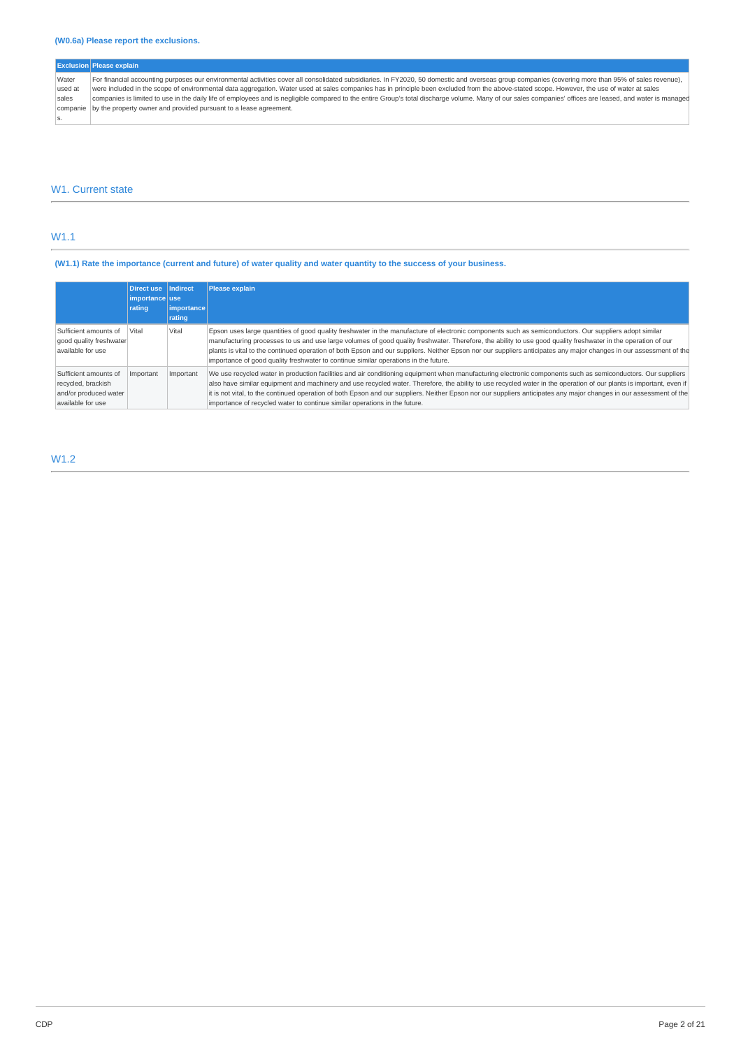## **(W0.6a) Please report the exclusions.**

|          | <b>Exclusion Please explain</b>                                                                                                                                                                           |
|----------|-----------------------------------------------------------------------------------------------------------------------------------------------------------------------------------------------------------|
| Water    | For financial accounting purposes our environmental activities cover all consolidated subsidiaries. In FY2020, 50 domestic and overseas group companies (covering more than 95% of sales revenue),        |
| lused at | were included in the scope of environmental data aggregation. Water used at sales companies has in principle been excluded from the above-stated scope. However, the use of water at sales                |
| sales    | companies is limited to use in the daily life of employees and is negligible compared to the entire Group's total discharge volume. Many of our sales companies' offices are leased, and water is managed |
|          | companie by the property owner and provided pursuant to a lease agreement.                                                                                                                                |
|          |                                                                                                                                                                                                           |

## W1. Current state

## W1.1

## (W1.1) Rate the importance (current and future) of water quality and water quantity to the success of your business.

|                                                                                           | <b>Direct use</b><br>importance use<br>rating | Indirect<br>importance | <b>Please explain</b>                                                                                                                                                                                                                                                                                                                                                                                                                                                                                                                                                                    |
|-------------------------------------------------------------------------------------------|-----------------------------------------------|------------------------|------------------------------------------------------------------------------------------------------------------------------------------------------------------------------------------------------------------------------------------------------------------------------------------------------------------------------------------------------------------------------------------------------------------------------------------------------------------------------------------------------------------------------------------------------------------------------------------|
|                                                                                           |                                               | rating                 |                                                                                                                                                                                                                                                                                                                                                                                                                                                                                                                                                                                          |
| Sufficient amounts of<br>good quality freshwater<br>available for use                     | Vital                                         | Vital                  | Epson uses large quantities of good quality freshwater in the manufacture of electronic components such as semiconductors. Our suppliers adopt similar<br>manufacturing processes to us and use large volumes of good quality freshwater. Therefore, the ability to use good quality freshwater in the operation of our<br>plants is vital to the continued operation of both Epson and our suppliers. Neither Epson nor our suppliers anticipates any major changes in our assessment of the<br>importance of good quality freshwater to continue similar operations in the future.     |
| Sufficient amounts of<br>recycled, brackish<br>and/or produced water<br>available for use | Important                                     | Important              | We use recycled water in production facilities and air conditioning equipment when manufacturing electronic components such as semiconductors. Our suppliers<br>also have similar equipment and machinery and use recycled water. Therefore, the ability to use recycled water in the operation of our plants is important, even if<br>it is not vital, to the continued operation of both Epson and our suppliers. Neither Epson nor our suppliers anticipates any major changes in our assessment of the<br>importance of recycled water to continue similar operations in the future. |

## W1.2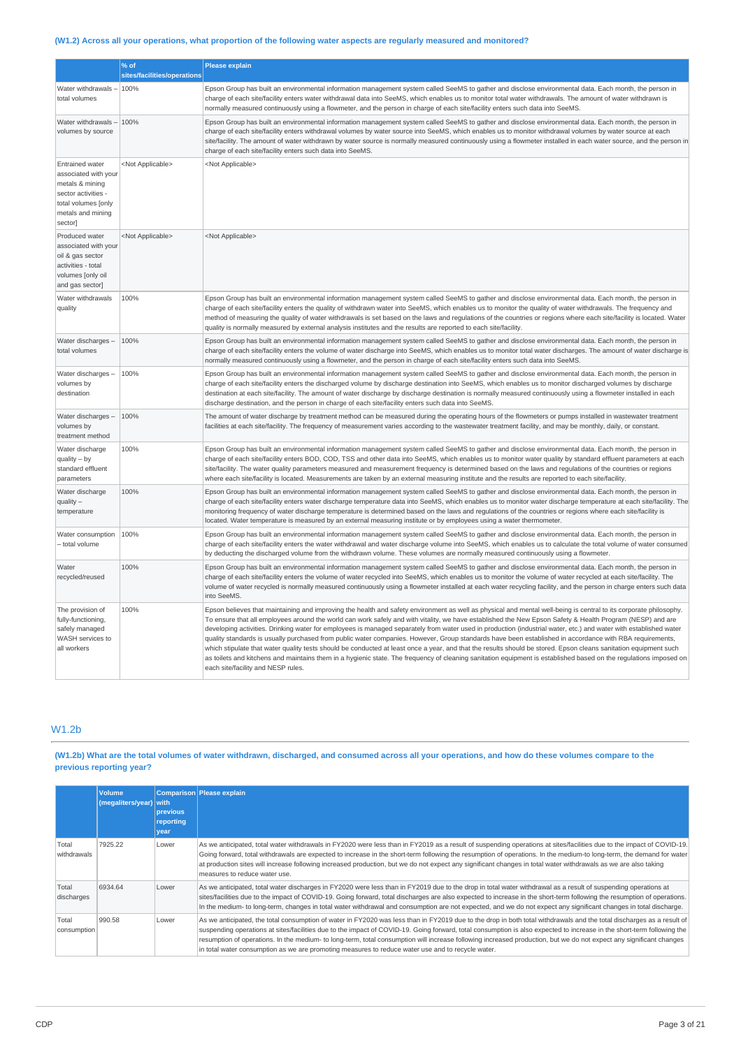## (W1.2) Across all your operations, what proportion of the following water aspects are regularly measured and monitored?

|                                                                                                                                                 | % of<br>sites/facilities/operations | <b>Please explain</b>                                                                                                                                                                                                                                                                                                                                                                                                                                                                                                                                                                                                                                                                                                                                                                                                                                                                                                                                                                                                                         |
|-------------------------------------------------------------------------------------------------------------------------------------------------|-------------------------------------|-----------------------------------------------------------------------------------------------------------------------------------------------------------------------------------------------------------------------------------------------------------------------------------------------------------------------------------------------------------------------------------------------------------------------------------------------------------------------------------------------------------------------------------------------------------------------------------------------------------------------------------------------------------------------------------------------------------------------------------------------------------------------------------------------------------------------------------------------------------------------------------------------------------------------------------------------------------------------------------------------------------------------------------------------|
| Water withdrawals -<br>total volumes                                                                                                            | 100%                                | Epson Group has built an environmental information management system called SeeMS to gather and disclose environmental data. Each month, the person in<br>charge of each site/facility enters water withdrawal data into SeeMS, which enables us to monitor total water withdrawals. The amount of water withdrawn is<br>normally measured continuously using a flowmeter, and the person in charge of each site/facility enters such data into SeeMS.                                                                                                                                                                                                                                                                                                                                                                                                                                                                                                                                                                                        |
| Water withdrawals -<br>volumes by source                                                                                                        | 100%                                | Epson Group has built an environmental information management system called SeeMS to gather and disclose environmental data. Each month, the person in<br>charge of each site/facility enters withdrawal volumes by water source into SeeMS, which enables us to monitor withdrawal volumes by water source at each<br>site/facility. The amount of water withdrawn by water source is normally measured continuously using a flowmeter installed in each water source, and the person in<br>charge of each site/facility enters such data into SeeMS.                                                                                                                                                                                                                                                                                                                                                                                                                                                                                        |
| <b>Entrained water</b><br>associated with your<br>metals & mining<br>sector activities -<br>total volumes [only<br>metals and mining<br>sector] | <not applicable=""></not>           | <not applicable=""></not>                                                                                                                                                                                                                                                                                                                                                                                                                                                                                                                                                                                                                                                                                                                                                                                                                                                                                                                                                                                                                     |
| Produced water<br>associated with your<br>oil & gas sector<br>activities - total<br>volumes [only oil<br>and gas sector]                        | <not applicable=""></not>           | <not applicable=""></not>                                                                                                                                                                                                                                                                                                                                                                                                                                                                                                                                                                                                                                                                                                                                                                                                                                                                                                                                                                                                                     |
| Water withdrawals<br>quality                                                                                                                    | 100%                                | Epson Group has built an environmental information management system called SeeMS to gather and disclose environmental data. Each month, the person in<br>charge of each site/facility enters the quality of withdrawn water into SeeMS, which enables us to monitor the quality of water withdrawals. The frequency and<br>method of measuring the quality of water withdrawals is set based on the laws and regulations of the countries or regions where each site/facility is located. Water<br>quality is normally measured by external analysis institutes and the results are reported to each site/facility.                                                                                                                                                                                                                                                                                                                                                                                                                          |
| Water discharges -<br>total volumes                                                                                                             | 100%                                | Epson Group has built an environmental information management system called SeeMS to gather and disclose environmental data. Each month, the person in<br>charge of each site/facility enters the volume of water discharge into SeeMS, which enables us to monitor total water discharges. The amount of water discharge is<br>normally measured continuously using a flowmeter, and the person in charge of each site/facility enters such data into SeeMS.                                                                                                                                                                                                                                                                                                                                                                                                                                                                                                                                                                                 |
| Water discharges -<br>volumes by<br>destination                                                                                                 | 100%                                | Epson Group has built an environmental information management system called SeeMS to gather and disclose environmental data. Each month, the person in<br>charge of each site/facility enters the discharged volume by discharge destination into SeeMS, which enables us to monitor discharged volumes by discharge<br>destination at each site/facility. The amount of water discharge by discharge destination is normally measured continuously using a flowmeter installed in each<br>discharge destination, and the person in charge of each site/facility enters such data into SeeMS.                                                                                                                                                                                                                                                                                                                                                                                                                                                 |
| Water discharges -<br>volumes by<br>treatment method                                                                                            | 100%                                | The amount of water discharge by treatment method can be measured during the operating hours of the flowmeters or pumps installed in wastewater treatment<br>facilities at each site/facility. The frequency of measurement varies according to the wastewater treatment facility, and may be monthly, daily, or constant.                                                                                                                                                                                                                                                                                                                                                                                                                                                                                                                                                                                                                                                                                                                    |
| Water discharge<br>$quality - by$<br>standard effluent<br>parameters                                                                            | 100%                                | Epson Group has built an environmental information management system called SeeMS to gather and disclose environmental data. Each month, the person in<br>charge of each site/facility enters BOD, COD, TSS and other data into SeeMS, which enables us to monitor water quality by standard effluent parameters at each<br>site/facility. The water quality parameters measured and measurement frequency is determined based on the laws and regulations of the countries or regions<br>where each site/facility is located. Measurements are taken by an external measuring institute and the results are reported to each site/facility.                                                                                                                                                                                                                                                                                                                                                                                                  |
| Water discharge<br>$quality -$<br>temperature                                                                                                   | 100%                                | Epson Group has built an environmental information management system called SeeMS to gather and disclose environmental data. Each month, the person in<br>charge of each site/facility enters water discharge temperature data into SeeMS, which enables us to monitor water discharge temperature at each site/facility. The<br>monitoring frequency of water discharge temperature is determined based on the laws and regulations of the countries or regions where each site/facility is<br>located. Water temperature is measured by an external measuring institute or by employees using a water thermometer.                                                                                                                                                                                                                                                                                                                                                                                                                          |
| Water consumption<br>- total volume                                                                                                             | 100%                                | Epson Group has built an environmental information management system called SeeMS to gather and disclose environmental data. Each month, the person in<br>charge of each site/facility enters the water withdrawal and water discharge volume into SeeMS, which enables us to calculate the total volume of water consumed<br>by deducting the discharged volume from the withdrawn volume. These volumes are normally measured continuously using a flowmeter.                                                                                                                                                                                                                                                                                                                                                                                                                                                                                                                                                                               |
| Water<br>recycled/reused                                                                                                                        | 100%                                | Epson Group has built an environmental information management system called SeeMS to gather and disclose environmental data. Each month, the person in<br>charge of each site/facility enters the volume of water recycled into SeeMS, which enables us to monitor the volume of water recycled at each site/facility. The<br>volume of water recycled is normally measured continuously using a flowmeter installed at each water recycling facility, and the person in charge enters such data<br>into SeeMS.                                                                                                                                                                                                                                                                                                                                                                                                                                                                                                                               |
| The provision of<br>fully-functioning,<br>safely managed<br>WASH services to<br>all workers                                                     | 100%                                | Epson believes that maintaining and improving the health and safety environment as well as physical and mental well-being is central to its corporate philosophy.<br>To ensure that all employees around the world can work safely and with vitality, we have established the New Epson Safety & Health Program (NESP) and are<br>developing activities. Drinking water for employees is managed separately from water used in production (industrial water, etc.) and water with established water<br>quality standards is usually purchased from public water companies. However, Group standards have been established in accordance with RBA requirements,<br>which stipulate that water quality tests should be conducted at least once a year, and that the results should be stored. Epson cleans sanitation equipment such<br>as toilets and kitchens and maintains them in a hygienic state. The frequency of cleaning sanitation equipment is established based on the regulations imposed on<br>each site/facility and NESP rules. |

## W1.2b

## (W1.2b) What are the total volumes of water withdrawn, discharged, and consumed across all your operations, and how do these volumes compare to the **previous reporting year?**

|                      | <b>Volume</b><br>(megaliters/year) with | previous<br>reporting<br>vear | Comparison Please explain                                                                                                                                                                                                                                                                                                                                                                                                                                                                                                                                                                                                   |
|----------------------|-----------------------------------------|-------------------------------|-----------------------------------------------------------------------------------------------------------------------------------------------------------------------------------------------------------------------------------------------------------------------------------------------------------------------------------------------------------------------------------------------------------------------------------------------------------------------------------------------------------------------------------------------------------------------------------------------------------------------------|
| Total<br>withdrawals | 7925.22                                 | Lower                         | As we anticipated, total water withdrawals in FY2020 were less than in FY2019 as a result of suspending operations at sites/facilities due to the impact of COVID-19.<br>Going forward, total withdrawals are expected to increase in the short-term following the resumption of operations. In the medium-to long-term, the demand for water<br>at production sites will increase following increased production, but we do not expect any significant changes in total water withdrawals as we are also taking<br>measures to reduce water use.                                                                           |
| Total<br>discharges  | 6934.64                                 | Lower                         | As we anticipated, total water discharges in FY2020 were less than in FY2019 due to the drop in total water withdrawal as a result of suspending operations at<br>sites/facilities due to the impact of COVID-19. Going forward, total discharges are also expected to increase in the short-term following the resumption of operations.<br>In the medium-to long-term, changes in total water withdrawal and consumption are not expected, and we do not expect any significant changes in total discharge.                                                                                                               |
| Total<br>consumption | 990.58                                  | Lower                         | As we anticipated, the total consumption of water in FY2020 was less than in FY2019 due to the drop in both total withdrawals and the total discharges as a result of<br>suspending operations at sites/facilities due to the impact of COVID-19. Going forward, total consumption is also expected to increase in the short-term following the<br>resumption of operations. In the medium- to long-term, total consumption will increase following increased production, but we do not expect any significant changes<br>in total water consumption as we are promoting measures to reduce water use and to recycle water. |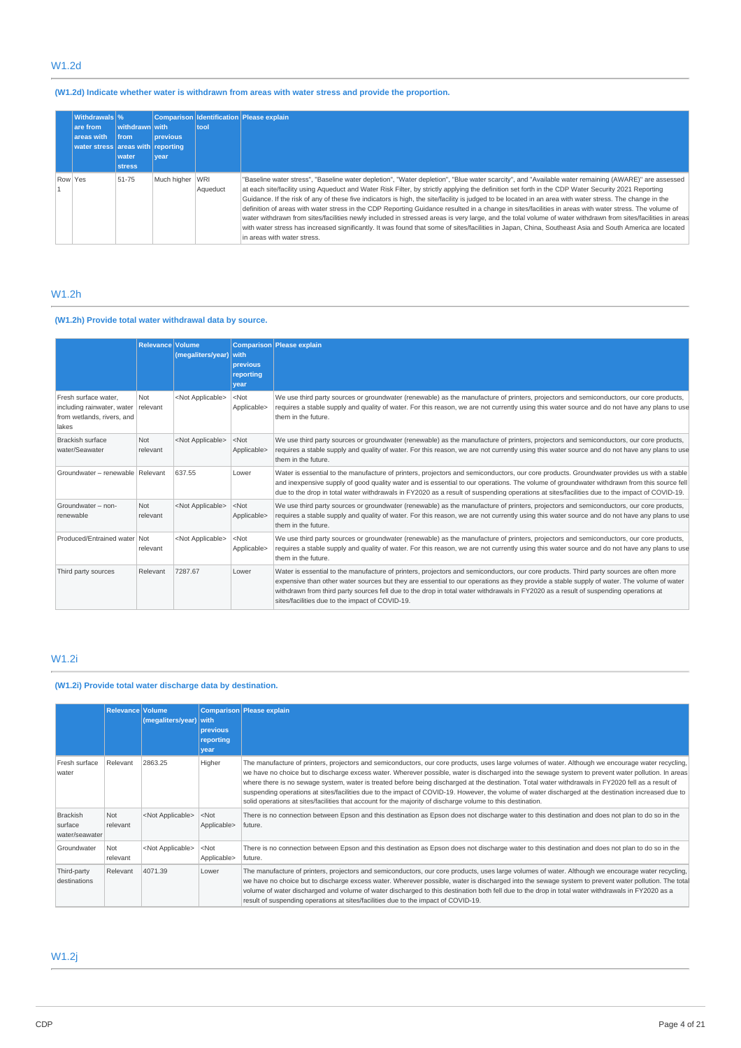## W1.2d

## **(W1.2d) Indicate whether water is withdrawn from areas with water stress and provide the proportion.**

|         | <b>Withdrawals</b> %<br>are from<br>areas with<br>water stress areas with reporting | withdrawn with<br><b>Ifrom</b><br>water<br><b>stress</b> | <b>previous</b><br>vear | tool     | Comparison Identification Please explain                                                                                                                                                                                                                                                                                                                                                                                                                                                                                                                                                                                                                                                                                                                                                                                                                                                                                                                                                  |
|---------|-------------------------------------------------------------------------------------|----------------------------------------------------------|-------------------------|----------|-------------------------------------------------------------------------------------------------------------------------------------------------------------------------------------------------------------------------------------------------------------------------------------------------------------------------------------------------------------------------------------------------------------------------------------------------------------------------------------------------------------------------------------------------------------------------------------------------------------------------------------------------------------------------------------------------------------------------------------------------------------------------------------------------------------------------------------------------------------------------------------------------------------------------------------------------------------------------------------------|
| Row Yes |                                                                                     | 51-75                                                    | Much higher WRI         | Aqueduct | "Baseline water stress", "Baseline water depletion", "Water depletion", "Blue water scarcity", and "Available water remaining (AWARE)" are assessed<br>at each site/facility using Aqueduct and Water Risk Filter, by strictly applying the definition set forth in the CDP Water Security 2021 Reporting<br>Guidance. If the risk of any of these five indicators is high, the site/facility is judged to be located in an area with water stress. The change in the<br>definition of areas with water stress in the CDP Reporting Guidance resulted in a change in sites/facilities in areas with water stress. The volume of<br>water withdrawn from sites/facilities newly included in stressed areas is very large, and the tolal volume of water withdrawn from sites/facilities in areas<br>with water stress has increased significantly. It was found that some of sites/facilities in Japan, China, Southeast Asia and South America are located<br>in areas with water stress. |

# W1.2h

# **(W1.2h) Provide total water withdrawal data by source.**

|                                                                                                    | <b>Relevance Volume</b> | (megaliters/year) with    | <b>previous</b><br>reporting<br>vear | Comparison Please explain                                                                                                                                                                                                                                                                                                                                                                                                                                                       |
|----------------------------------------------------------------------------------------------------|-------------------------|---------------------------|--------------------------------------|---------------------------------------------------------------------------------------------------------------------------------------------------------------------------------------------------------------------------------------------------------------------------------------------------------------------------------------------------------------------------------------------------------------------------------------------------------------------------------|
| Fresh surface water.<br>including rainwater, water relevant<br>from wetlands, rivers, and<br>lakes | Not                     | <not applicable=""></not> | $ $ <not<br>Applicable&gt;</not<br>  | We use third party sources or groundwater (renewable) as the manufacture of printers, projectors and semiconductors, our core products,<br>requires a stable supply and quality of water. For this reason, we are not currently using this water source and do not have any plans to use<br>them in the future.                                                                                                                                                                 |
| Brackish surface<br>water/Seawater                                                                 | Not<br>relevant         | <not applicable=""></not> | $<$ Not<br>Applicable>               | We use third party sources or groundwater (renewable) as the manufacture of printers, projectors and semiconductors, our core products,<br>requires a stable supply and quality of water. For this reason, we are not currently using this water source and do not have any plans to use<br>them in the future.                                                                                                                                                                 |
| Groundwater - renewable Relevant                                                                   |                         | 637.55                    | Lower                                | Water is essential to the manufacture of printers, projectors and semiconductors, our core products. Groundwater provides us with a stable<br>and inexpensive supply of good quality water and is essential to our operations. The volume of groundwater withdrawn from this source fell<br>due to the drop in total water withdrawals in FY2020 as a result of suspending operations at sites/facilities due to the impact of COVID-19.                                        |
| Groundwater - non-<br>renewable                                                                    | Not<br>relevant         | <not applicable=""></not> | $<$ Not<br>Applicable>               | We use third party sources or groundwater (renewable) as the manufacture of printers, projectors and semiconductors, our core products,<br>requires a stable supply and quality of water. For this reason, we are not currently using this water source and do not have any plans to use<br>them in the future.                                                                                                                                                                 |
| Produced/Entrained water Not                                                                       | relevant                | <not applicable=""></not> | $<$ Not<br>Applicable>               | We use third party sources or groundwater (renewable) as the manufacture of printers, projectors and semiconductors, our core products,<br>requires a stable supply and quality of water. For this reason, we are not currently using this water source and do not have any plans to use<br>them in the future.                                                                                                                                                                 |
| Third party sources                                                                                | Relevant                | 7287.67                   | Lower                                | Water is essential to the manufacture of printers, projectors and semiconductors, our core products. Third party sources are often more<br>expensive than other water sources but they are essential to our operations as they provide a stable supply of water. The volume of water<br>withdrawn from third party sources fell due to the drop in total water withdrawals in FY2020 as a result of suspending operations at<br>sites/facilities due to the impact of COVID-19. |

# W1.2i

## **(W1.2i) Provide total water discharge data by destination.**

|                                              | Relevance Volume | (megaliters/year)         | with<br>previous<br>reporting<br>year | Comparison Please explain                                                                                                                                                                                                                                                                                                                                                                                                                                                                                                                                                                                                                                                                                                               |
|----------------------------------------------|------------------|---------------------------|---------------------------------------|-----------------------------------------------------------------------------------------------------------------------------------------------------------------------------------------------------------------------------------------------------------------------------------------------------------------------------------------------------------------------------------------------------------------------------------------------------------------------------------------------------------------------------------------------------------------------------------------------------------------------------------------------------------------------------------------------------------------------------------------|
| Fresh surface<br>water                       | Relevant         | 2863.25                   | Higher                                | The manufacture of printers, projectors and semiconductors, our core products, uses large volumes of water. Although we encourage water recycling,<br>we have no choice but to discharge excess water. Wherever possible, water is discharged into the sewage system to prevent water pollution. In areas<br>where there is no sewage system, water is treated before being discharged at the destination. Total water withdrawals in FY2020 fell as a result of<br>suspending operations at sites/facilities due to the impact of COVID-19. However, the volume of water discharged at the destination increased due to<br>solid operations at sites/facilities that account for the majority of discharge volume to this destination. |
| <b>Brackish</b><br>surface<br>water/seawater | Not<br>relevant  | <not applicable=""></not> | $<$ Not<br>Applicable>                | There is no connection between Epson and this destination as Epson does not discharge water to this destination and does not plan to do so in the<br>future.                                                                                                                                                                                                                                                                                                                                                                                                                                                                                                                                                                            |
| Groundwater                                  | Not<br>relevant  | <not applicable=""></not> | $<$ Not<br>Applicable>                | There is no connection between Epson and this destination as Epson does not discharge water to this destination and does not plan to do so in the<br>future.                                                                                                                                                                                                                                                                                                                                                                                                                                                                                                                                                                            |
| Third-party<br>destinations                  | Relevant         | 4071.39                   | Lower                                 | The manufacture of printers, projectors and semiconductors, our core products, uses large volumes of water. Although we encourage water recycling,<br>we have no choice but to discharge excess water. Wherever possible, water is discharged into the sewage system to prevent water pollution. The total<br>volume of water discharged and volume of water discharged to this destination both fell due to the drop in total water withdrawals in FY2020 as a<br>result of suspending operations at sites/facilities due to the impact of COVID-19.                                                                                                                                                                                   |

## W1.2j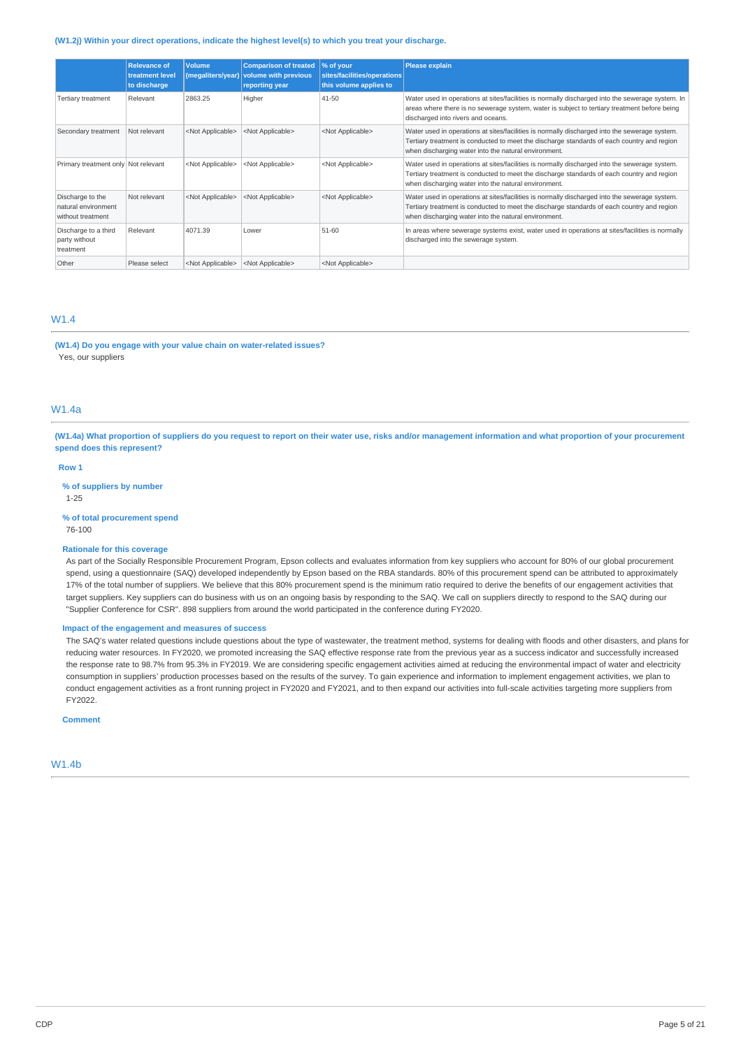#### **(W1.2j) Within your direct operations, indicate the highest level(s) to which you treat your discharge.**

|                                                              | <b>Relevance of</b><br>treatment level<br>to discharge | <b>Volume</b><br>(megaliters/year) | <b>Comparison of treated</b><br>volume with previous<br>reporting year | % of your<br>sites/facilities/operations<br>this volume applies to | <b>Please explain</b>                                                                                                                                                                                                                               |
|--------------------------------------------------------------|--------------------------------------------------------|------------------------------------|------------------------------------------------------------------------|--------------------------------------------------------------------|-----------------------------------------------------------------------------------------------------------------------------------------------------------------------------------------------------------------------------------------------------|
| <b>Tertiary treatment</b>                                    | Relevant                                               | 2863.25                            | Higher                                                                 | 41-50                                                              | Water used in operations at sites/facilities is normally discharged into the sewerage system. In<br>areas where there is no sewerage system, water is subject to tertiary treatment before being<br>discharged into rivers and oceans.              |
| Secondary treatment                                          | Not relevant                                           | <not applicable=""></not>          | <not applicable=""></not>                                              | <not applicable=""></not>                                          | Water used in operations at sites/facilities is normally discharged into the sewerage system.<br>Tertiary treatment is conducted to meet the discharge standards of each country and region<br>when discharging water into the natural environment. |
| Primary treatment only Not relevant                          |                                                        | <not applicable=""></not>          | <not applicable=""></not>                                              | <not applicable=""></not>                                          | Water used in operations at sites/facilities is normally discharged into the sewerage system.<br>Tertiary treatment is conducted to meet the discharge standards of each country and region<br>when discharging water into the natural environment. |
| Discharge to the<br>natural environment<br>without treatment | Not relevant                                           | <not applicable=""></not>          | <not applicable=""></not>                                              | <not applicable=""></not>                                          | Water used in operations at sites/facilities is normally discharged into the sewerage system.<br>Tertiary treatment is conducted to meet the discharge standards of each country and region<br>when discharging water into the natural environment. |
| Discharge to a third<br>party without<br>treatment           | Relevant                                               | 4071.39                            | Lower                                                                  | 51-60                                                              | In areas where sewerage systems exist, water used in operations at sites/facilities is normally<br>discharged into the sewerage system.                                                                                                             |
| Other                                                        | Please select                                          | <not applicable=""></not>          | <not applicable=""></not>                                              | <not applicable=""></not>                                          |                                                                                                                                                                                                                                                     |

### W1.4

**(W1.4) Do you engage with your value chain on water-related issues?** Yes, our suppliers

### W1.4a

(W1.4a) What proportion of suppliers do you request to report on their water use, risks and/or management information and what proportion of your procurement **spend does this represent?**

### **Row 1**

**% of suppliers by number** 1-25

#### **% of total procurement spend**

76-100

#### **Rationale for this coverage**

As part of the Socially Responsible Procurement Program, Epson collects and evaluates information from key suppliers who account for 80% of our global procurement spend, using a questionnaire (SAQ) developed independently by Epson based on the RBA standards. 80% of this procurement spend can be attributed to approximately 17% of the total number of suppliers. We believe that this 80% procurement spend is the minimum ratio required to derive the benefits of our engagement activities that target suppliers. Key suppliers can do business with us on an ongoing basis by responding to the SAQ. We call on suppliers directly to respond to the SAQ during our "Supplier Conference for CSR". 898 suppliers from around the world participated in the conference during FY2020.

### **Impact of the engagement and measures of success**

The SAQ's water related questions include questions about the type of wastewater, the treatment method, systems for dealing with floods and other disasters, and plans for reducing water resources. In FY2020, we promoted increasing the SAQ effective response rate from the previous year as a success indicator and successfully increased the response rate to 98.7% from 95.3% in FY2019. We are considering specific engagement activities aimed at reducing the environmental impact of water and electricity consumption in suppliers' production processes based on the results of the survey. To gain experience and information to implement engagement activities, we plan to conduct engagement activities as a front running project in FY2020 and FY2021, and to then expand our activities into full-scale activities targeting more suppliers from FY2022.

**Comment**

W1.4b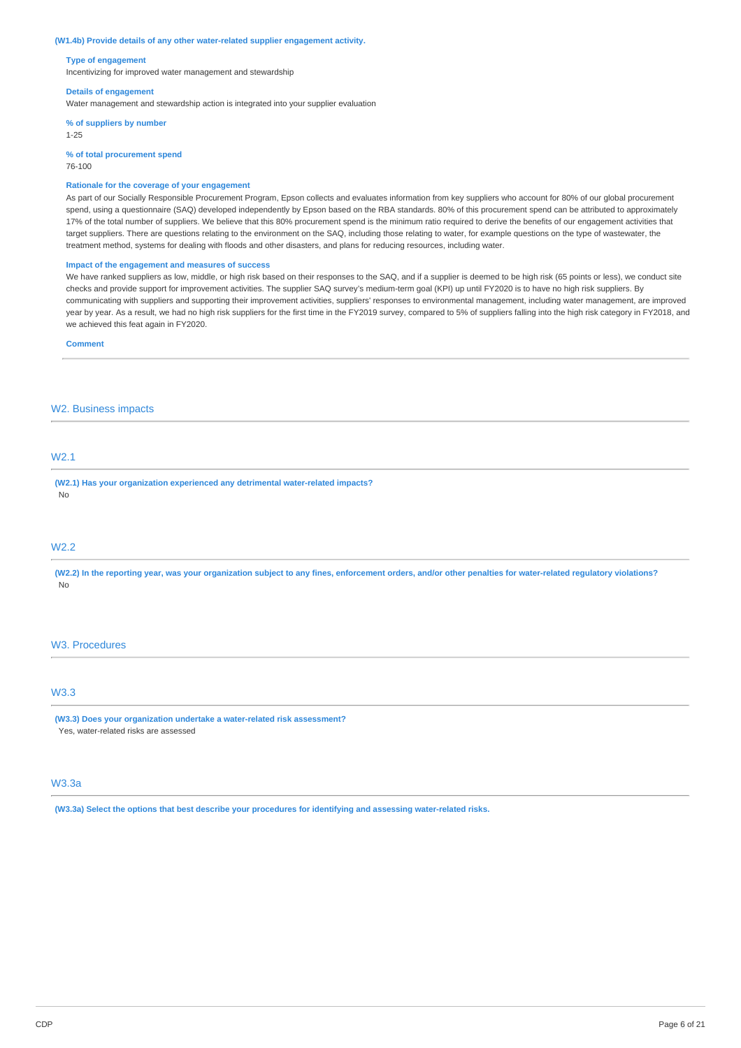#### **(W1.4b) Provide details of any other water-related supplier engagement activity.**

#### **Type of engagement**

Incentivizing for improved water management and stewardship

#### **Details of engagement**

Water management and stewardship action is integrated into your supplier evaluation

**% of suppliers by number**

1-25

**% of total procurement spend**

### 76-100

### **Rationale for the coverage of your engagement**

As part of our Socially Responsible Procurement Program, Epson collects and evaluates information from key suppliers who account for 80% of our global procurement spend, using a questionnaire (SAQ) developed independently by Epson based on the RBA standards. 80% of this procurement spend can be attributed to approximately 17% of the total number of suppliers. We believe that this 80% procurement spend is the minimum ratio required to derive the benefits of our engagement activities that target suppliers. There are questions relating to the environment on the SAQ, including those relating to water, for example questions on the type of wastewater, the treatment method, systems for dealing with floods and other disasters, and plans for reducing resources, including water.

### **Impact of the engagement and measures of success**

We have ranked suppliers as low, middle, or high risk based on their responses to the SAQ, and if a supplier is deemed to be high risk (65 points or less), we conduct site checks and provide support for improvement activities. The supplier SAQ survey's medium-term goal (KPI) up until FY2020 is to have no high risk suppliers. By communicating with suppliers and supporting their improvement activities, suppliers' responses to environmental management, including water management, are improved year by year. As a result, we had no high risk suppliers for the first time in the FY2019 survey, compared to 5% of suppliers falling into the high risk category in FY2018, and we achieved this feat again in FY2020.

#### **Comment**

### W2. Business impacts

## W2.1

**(W2.1) Has your organization experienced any detrimental water-related impacts?** No

### W2.2

(W2.2) In the reporting year, was your organization subject to any fines, enforcement orders, and/or other penalties for water-related regulatory violations? No

#### W3. Procedures

### W3.3

**(W3.3) Does your organization undertake a water-related risk assessment?** Yes, water-related risks are assessed

## W3.3a

**(W3.3a) Select the options that best describe your procedures for identifying and assessing water-related risks.**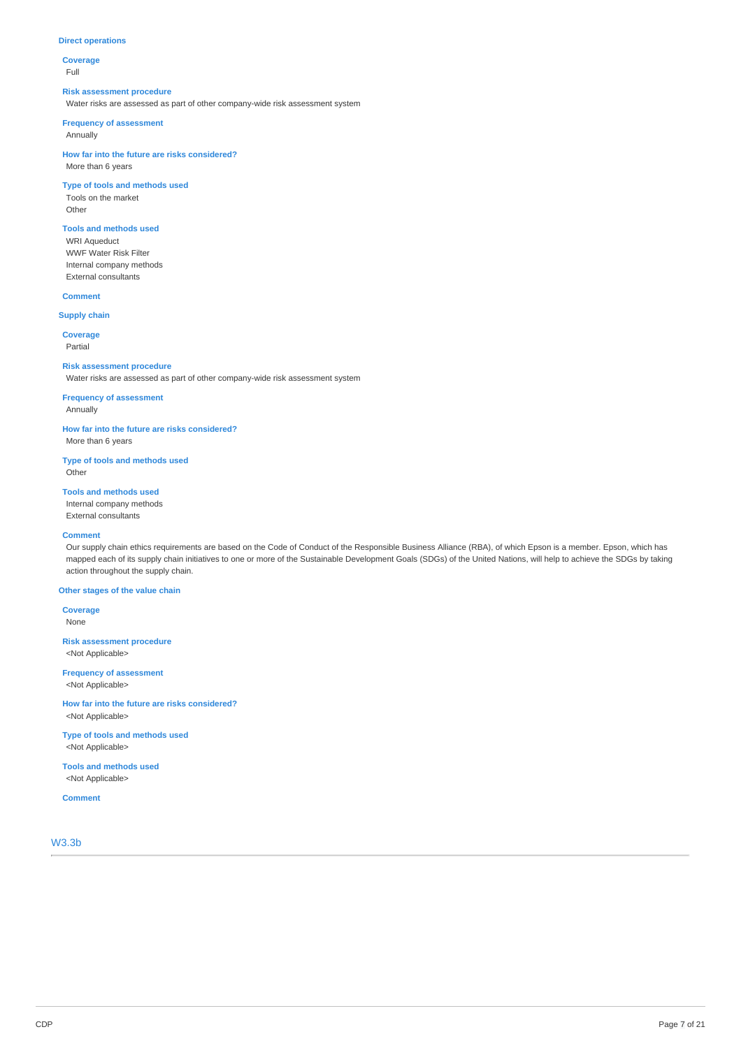#### **Direct operations**

**Coverage** Full

#### **Risk assessment procedure**

Water risks are assessed as part of other company-wide risk assessment system

#### **Frequency of assessment**

Annually

**How far into the future are risks considered?** More than 6 years

### **Type of tools and methods used**

Tools on the market

Other

## **Tools and methods used**

WRI Aqueduct WWF Water Risk Filter Internal company methods External consultants

### **Comment**

**Supply chain**

**Coverage** Partial

#### **Risk assessment procedure**

Water risks are assessed as part of other company-wide risk assessment system

## **Frequency of assessment**

Annually

**How far into the future are risks considered?**

More than 6 years

**Type of tools and methods used Other** 

## **Tools and methods used**

Internal company methods External consultants

### **Comment**

Our supply chain ethics requirements are based on the Code of Conduct of the Responsible Business Alliance (RBA), of which Epson is a member. Epson, which has mapped each of its supply chain initiatives to one or more of the Sustainable Development Goals (SDGs) of the United Nations, will help to achieve the SDGs by taking action throughout the supply chain.

#### **Other stages of the value chain**

**Coverage** None

**Risk assessment procedure** <Not Applicable>

**Frequency of assessment** <Not Applicable>

**How far into the future are risks considered?** <Not Applicable>

**Type of tools and methods used** <Not Applicable>

**Tools and methods used** <Not Applicable>

### **Comment**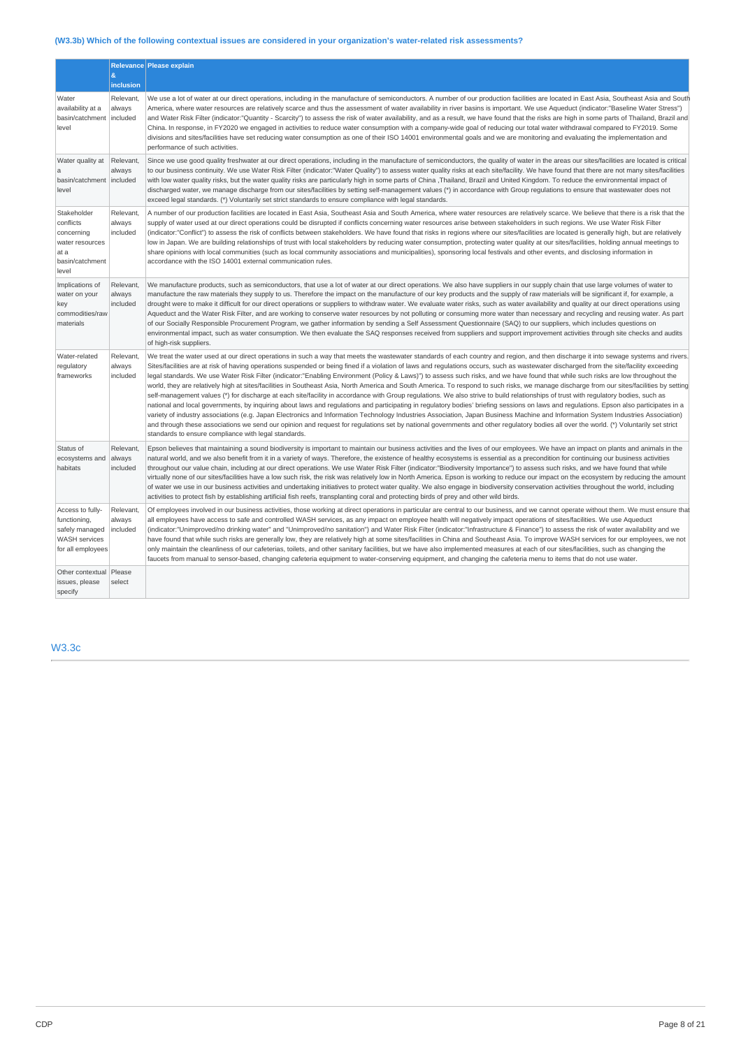# **(W3.3b) Which of the following contextual issues are considered in your organization's water-related risk assessments?**

|                                                                                                 | $\&$                            | Relevance Please explain                                                                                                                                                                                                                                                                                                                                                                                                                                                                                                                                                                                                                                                                                                                                                                                                                                                                                                                                                                                                                                                                                                                                                                                                                                                                                                                                                                                                                                                                                                                                                                    |
|-------------------------------------------------------------------------------------------------|---------------------------------|---------------------------------------------------------------------------------------------------------------------------------------------------------------------------------------------------------------------------------------------------------------------------------------------------------------------------------------------------------------------------------------------------------------------------------------------------------------------------------------------------------------------------------------------------------------------------------------------------------------------------------------------------------------------------------------------------------------------------------------------------------------------------------------------------------------------------------------------------------------------------------------------------------------------------------------------------------------------------------------------------------------------------------------------------------------------------------------------------------------------------------------------------------------------------------------------------------------------------------------------------------------------------------------------------------------------------------------------------------------------------------------------------------------------------------------------------------------------------------------------------------------------------------------------------------------------------------------------|
|                                                                                                 | inclusion                       |                                                                                                                                                                                                                                                                                                                                                                                                                                                                                                                                                                                                                                                                                                                                                                                                                                                                                                                                                                                                                                                                                                                                                                                                                                                                                                                                                                                                                                                                                                                                                                                             |
| Water<br>availability at a<br>basin/catchment   included<br>level                               | Relevant,<br>always             | We use a lot of water at our direct operations, including in the manufacture of semiconductors. A number of our production facilities are located in East Asia, Southeast Asia and South<br>America, where water resources are relatively scarce and thus the assessment of water availability in river basins is important. We use Aqueduct (indicator:"Baseline Water Stress")<br>and Water Risk Filter (indicator:"Quantity - Scarcity") to assess the risk of water availability, and as a result, we have found that the risks are high in some parts of Thailand, Brazil and<br>China. In response, in FY2020 we engaged in activities to reduce water consumption with a company-wide goal of reducing our total water withdrawal compared to FY2019. Some<br>divisions and sites/facilities have set reducing water consumption as one of their ISO 14001 environmental goals and we are monitoring and evaluating the implementation and<br>performance of such activities.                                                                                                                                                                                                                                                                                                                                                                                                                                                                                                                                                                                                        |
| Water quality at<br>a<br>basin/catchment   included<br>level                                    | Relevant,<br>always             | Since we use good quality freshwater at our direct operations, including in the manufacture of semiconductors, the quality of water in the areas our sites/facilities are located is critical<br>to our business continuity. We use Water Risk Filter (indicator:"Water Quality") to assess water quality risks at each site/facility. We have found that there are not many sites/facilities<br>with low water quality risks, but the water quality risks are particularly high in some parts of China ,Thailand, Brazil and United Kingdom. To reduce the environmental impact of<br>discharged water, we manage discharge from our sites/facilities by setting self-management values (*) in accordance with Group regulations to ensure that wastewater does not<br>exceed legal standards. (*) Voluntarily set strict standards to ensure compliance with legal standards.                                                                                                                                                                                                                                                                                                                                                                                                                                                                                                                                                                                                                                                                                                             |
| Stakeholder<br>conflicts<br>concerning<br>water resources<br>at a<br>basin/catchment<br>level   | Relevant,<br>always<br>included | A number of our production facilities are located in East Asia, Southeast Asia and South America, where water resources are relatively scarce. We believe that there is a risk that the<br>supply of water used at our direct operations could be disrupted if conflicts concerning water resources arise between stakeholders in such regions. We use Water Risk Filter<br>(indicator:"Conflict") to assess the risk of conflicts between stakeholders. We have found that risks in regions where our sites/facilities are located is generally high, but are relatively<br>low in Japan. We are building relationships of trust with local stakeholders by reducing water consumption, protecting water quality at our sites/facilities, holding annual meetings to<br>share opinions with local communities (such as local community associations and municipalities), sponsoring local festivals and other events, and disclosing information in<br>accordance with the ISO 14001 external communication rules.                                                                                                                                                                                                                                                                                                                                                                                                                                                                                                                                                                         |
| Implications of<br>water on your<br>key<br>commodities/raw<br>materials                         | Relevant,<br>always<br>included | We manufacture products, such as semiconductors, that use a lot of water at our direct operations. We also have suppliers in our supply chain that use large volumes of water to<br>manufacture the raw materials they supply to us. Therefore the impact on the manufacture of our key products and the supply of raw materials will be significant if, for example, a<br>drought were to make it difficult for our direct operations or suppliers to withdraw water. We evaluate water risks, such as water availability and quality at our direct operations using<br>Aqueduct and the Water Risk Filter, and are working to conserve water resources by not polluting or consuming more water than necessary and recycling and reusing water. As part<br>of our Socially Responsible Procurement Program, we gather information by sending a Self Assessment Questionnaire (SAQ) to our suppliers, which includes questions on<br>environmental impact, such as water consumption. We then evaluate the SAQ responses received from suppliers and support improvement activities through site checks and audits<br>of high-risk suppliers.                                                                                                                                                                                                                                                                                                                                                                                                                                              |
| Water-related<br>regulatory<br>frameworks                                                       | Relevant,<br>always<br>included | We treat the water used at our direct operations in such a way that meets the wastewater standards of each country and region, and then discharge it into sewage systems and rivers.<br>Sites/facilities are at risk of having operations suspended or being fined if a violation of laws and regulations occurs, such as wastewater discharged from the site/facility exceeding<br>legal standards. We use Water Risk Filter (indicator:"Enabling Environment (Policy & Laws)") to assess such risks, and we have found that while such risks are low throughout the<br>world, they are relatively high at sites/facilities in Southeast Asia, North America and South America. To respond to such risks, we manage discharge from our sites/facilities by setting<br>self-management values (*) for discharge at each site/facility in accordance with Group regulations. We also strive to build relationships of trust with regulatory bodies, such as<br>national and local governments, by inquiring about laws and regulations and participating in regulatory bodies' briefing sessions on laws and regulations. Epson also participates in a<br>variety of industry associations (e.g. Japan Electronics and Information Technology Industries Association, Japan Business Machine and Information System Industries Association)<br>and through these associations we send our opinion and request for regulations set by national governments and other regulatory bodies all over the world. (*) Voluntarily set strict<br>standards to ensure compliance with legal standards. |
| Status of<br>ecosystems and<br>habitats                                                         | Relevant,<br>always<br>included | Epson believes that maintaining a sound biodiversity is important to maintain our business activities and the lives of our employees. We have an impact on plants and animals in the<br>natural world, and we also benefit from it in a variety of ways. Therefore, the existence of healthy ecosystems is essential as a precondition for continuing our business activities<br>throughout our value chain, including at our direct operations. We use Water Risk Filter (indicator:"Biodiversity Importance") to assess such risks, and we have found that while<br>virtually none of our sites/facilities have a low such risk, the risk was relatively low in North America. Epson is working to reduce our impact on the ecosystem by reducing the amount<br>of water we use in our business activities and undertaking initiatives to protect water quality. We also engage in biodiversity conservation activities throughout the world, including<br>activities to protect fish by establishing artificial fish reefs, transplanting coral and protecting birds of prey and other wild birds.                                                                                                                                                                                                                                                                                                                                                                                                                                                                                       |
| Access to fully-<br>functioning,<br>safely managed<br><b>WASH</b> services<br>for all employees | Relevant,<br>always<br>included | Of employees involved in our business activities, those working at direct operations in particular are central to our business, and we cannot operate without them. We must ensure that<br>all employees have access to safe and controlled WASH services, as any impact on employee health will negatively impact operations of sites/facilities. We use Aqueduct<br>(indicator:"Unimproved/no drinking water" and "Unimproved/no sanitation") and Water Risk Filter (indicator:"Infrastructure & Finance") to assess the risk of water availability and we<br>have found that while such risks are generally low, they are relatively high at some sites/facilities in China and Southeast Asia. To improve WASH services for our employees, we not<br>only maintain the cleanliness of our cafeterias, toilets, and other sanitary facilities, but we have also implemented measures at each of our sites/facilities, such as changing the<br>faucets from manual to sensor-based, changing cafeteria equipment to water-conserving equipment, and changing the cafeteria menu to items that do not use water.                                                                                                                                                                                                                                                                                                                                                                                                                                                                           |
| Other contextual<br>issues, please<br>specify                                                   | Please<br>select                |                                                                                                                                                                                                                                                                                                                                                                                                                                                                                                                                                                                                                                                                                                                                                                                                                                                                                                                                                                                                                                                                                                                                                                                                                                                                                                                                                                                                                                                                                                                                                                                             |

# W3.3c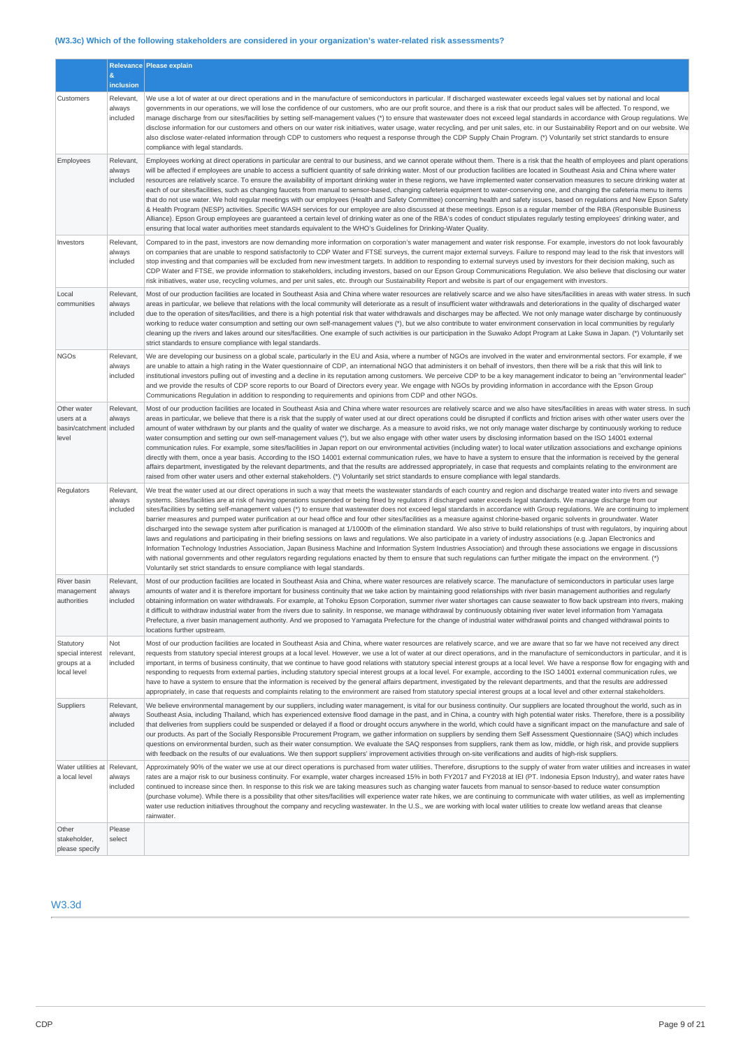## **(W3.3c) Which of the following stakeholders are considered in your organization's water-related risk assessments?**

|                                                                |                                 | Relevance Please explain                                                                                                                                                                                                                                                                                                                                                                                                                                                                                                                                                                                                                                                                                                                                                                                                                                                                                                                                                                                                                                                                                                                                                                                                                                                                                                                                                                                                                                                                                                                                                   |
|----------------------------------------------------------------|---------------------------------|----------------------------------------------------------------------------------------------------------------------------------------------------------------------------------------------------------------------------------------------------------------------------------------------------------------------------------------------------------------------------------------------------------------------------------------------------------------------------------------------------------------------------------------------------------------------------------------------------------------------------------------------------------------------------------------------------------------------------------------------------------------------------------------------------------------------------------------------------------------------------------------------------------------------------------------------------------------------------------------------------------------------------------------------------------------------------------------------------------------------------------------------------------------------------------------------------------------------------------------------------------------------------------------------------------------------------------------------------------------------------------------------------------------------------------------------------------------------------------------------------------------------------------------------------------------------------|
|                                                                | &<br>inclusion                  |                                                                                                                                                                                                                                                                                                                                                                                                                                                                                                                                                                                                                                                                                                                                                                                                                                                                                                                                                                                                                                                                                                                                                                                                                                                                                                                                                                                                                                                                                                                                                                            |
| Customers                                                      | Relevant,<br>always<br>included | We use a lot of water at our direct operations and in the manufacture of semiconductors in particular. If discharged wastewater exceeds legal values set by national and local<br>governments in our operations, we will lose the confidence of our customers, who are our profit source, and there is a risk that our product sales will be affected. To respond, we<br>manage discharge from our sites/facilities by setting self-management values (*) to ensure that wastewater does not exceed legal standards in accordance with Group regulations. We<br>disclose information for our customers and others on our water risk initiatives, water usage, water recycling, and per unit sales, etc. in our Sustainability Report and on our website. We<br>also disclose water-related information through CDP to customers who request a response through the CDP Supply Chain Program. (*) Voluntarily set strict standards to ensure<br>compliance with legal standards.                                                                                                                                                                                                                                                                                                                                                                                                                                                                                                                                                                                            |
| Employees                                                      | Relevant,<br>always<br>included | Employees working at direct operations in particular are central to our business, and we cannot operate without them. There is a risk that the health of employees and plant operations<br>will be affected if employees are unable to access a sufficient quantity of safe drinking water. Most of our production facilities are located in Southeast Asia and China where water<br>resources are relatively scarce. To ensure the availability of important drinking water in these regions, we have implemented water conservation measures to secure drinking water at<br>each of our sites/facilities, such as changing faucets from manual to sensor-based, changing cafeteria equipment to water-conserving one, and changing the cafeteria menu to items<br>that do not use water. We hold regular meetings with our employees (Health and Safety Committee) concerning health and safety issues, based on regulations and New Epson Safety<br>& Health Program (NESP) activities. Specific WASH services for our employee are also discussed at these meetings. Epson is a regular member of the RBA (Responsible Business<br>Alliance). Epson Group employees are guaranteed a certain level of drinking water as one of the RBA's codes of conduct stipulates regularly testing employees' drinking water, and<br>ensuring that local water authorities meet standards equivalent to the WHO's Guidelines for Drinking-Water Quality.                                                                                                                           |
| Investors                                                      | Relevant,<br>always<br>included | Compared to in the past, investors are now demanding more information on corporation's water management and water risk response. For example, investors do not look favourably<br>on companies that are unable to respond satisfactorily to CDP Water and FTSE surveys, the current major external surveys. Failure to respond may lead to the risk that investors will<br>stop investing and that companies will be excluded from new investment targets. In addition to responding to external surveys used by investors for their decision making, such as<br>CDP Water and FTSE, we provide information to stakeholders, including investors, based on our Epson Group Communications Regulation. We also believe that disclosing our water<br>risk initiatives, water use, recycling volumes, and per unit sales, etc. through our Sustainability Report and website is part of our engagement with investors.                                                                                                                                                                                                                                                                                                                                                                                                                                                                                                                                                                                                                                                        |
| Local<br>communities                                           | Relevant,<br>always<br>included | Most of our production facilities are located in Southeast Asia and China where water resources are relatively scarce and we also have sites/facilities in areas with water stress. In such<br>areas in particular, we believe that relations with the local community will deteriorate as a result of insufficient water withdrawals and deteriorations in the quality of discharged water<br>due to the operation of sites/facilities, and there is a high potential risk that water withdrawals and discharges may be affected. We not only manage water discharge by continuously<br>working to reduce water consumption and setting our own self-management values (*), but we also contribute to water environment conservation in local communities by regularly<br>cleaning up the rivers and lakes around our sites/facilities. One example of such activities is our participation in the Suwako Adopt Program at Lake Suwa in Japan. (*) Voluntarily set<br>strict standards to ensure compliance with legal standards.                                                                                                                                                                                                                                                                                                                                                                                                                                                                                                                                         |
| <b>NGOs</b>                                                    | Relevant,<br>always<br>included | We are developing our business on a global scale, particularly in the EU and Asia, where a number of NGOs are involved in the water and environmental sectors. For example, if we<br>are unable to attain a high rating in the Water questionnaire of CDP, an international NGO that administers it on behalf of investors, then there will be a risk that this will link to<br>institutional investors pulling out of investing and a decline in its reputation among customers. We perceive CDP to be a key management indicator to being an "environmental leader"<br>and we provide the results of CDP score reports to our Board of Directors every year. We engage with NGOs by providing information in accordance with the Epson Group<br>Communications Regulation in addition to responding to requirements and opinions from CDP and other NGOs.                                                                                                                                                                                                                                                                                                                                                                                                                                                                                                                                                                                                                                                                                                                |
| Other water<br>users at a<br>basin/catchment included<br>level | Relevant,<br>always             | Most of our production facilities are located in Southeast Asia and China where water resources are relatively scarce and we also have sites/facilities in areas with water stress. In such<br>areas in particular, we believe that there is a risk that the supply of water used at our direct operations could be disrupted if conflicts and friction arises with other water users over the<br>amount of water withdrawn by our plants and the quality of water we discharge. As a measure to avoid risks, we not only manage water discharge by continuously working to reduce<br>water consumption and setting our own self-management values (*), but we also engage with other water users by disclosing information based on the ISO 14001 external<br>communication rules. For example, some sites/facilities in Japan report on our environmental activities (including water) to local water utilization associations and exchange opinions<br>directly with them, once a year basis. According to the ISO 14001 external communication rules, we have to have a system to ensure that the information is received by the general<br>affairs department, investigated by the relevant departments, and that the results are addressed appropriately, in case that requests and complaints relating to the environment are<br>raised from other water users and other external stakeholders. (*) Voluntarily set strict standards to ensure compliance with legal standards.                                                                                     |
| Regulators                                                     | Relevant,<br>always<br>included | We treat the water used at our direct operations in such a way that meets the wastewater standards of each country and region and discharge treated water into rivers and sewage<br>systems. Sites/facilities are at risk of having operations suspended or being fined by regulators if discharged water exceeds legal standards. We manage discharge from our<br>sites/facilities by setting self-management values (*) to ensure that wastewater does not exceed legal standards in accordance with Group regulations. We are continuing to implement<br>barrier measures and pumped water purification at our head office and four other sites/facilities as a measure against chlorine-based organic solvents in groundwater. Water<br>discharged into the sewage system after purification is managed at 1/1000th of the elimination standard. We also strive to build relationships of trust with regulators, by inquiring about<br>laws and regulations and participating in their briefing sessions on laws and regulations. We also participate in a variety of industry associations (e.g. Japan Electronics and<br>Information Technology Industries Association, Japan Business Machine and Information System Industries Association) and through these associations we engage in discussions<br>with national governments and other regulators regarding regulations enacted by them to ensure that such regulations can further mitigate the impact on the environment. (*)<br>Voluntarily set strict standards to ensure compliance with legal standards. |
| River basin<br>management<br>authorities                       | Relevant,<br>always<br>included | Most of our production facilities are located in Southeast Asia and China, where water resources are relatively scarce. The manufacture of semiconductors in particular uses large<br>amounts of water and it is therefore important for business continuity that we take action by maintaining good relationships with river basin management authorities and regularly<br>obtaining information on water withdrawals. For example, at Tohoku Epson Corporation, summer river water shortages can cause seawater to flow back upstream into rivers, making<br>it difficult to withdraw industrial water from the rivers due to salinity. In response, we manage withdrawal by continuously obtaining river water level information from Yamagata<br>Prefecture, a river basin management authority. And we proposed to Yamagata Prefecture for the change of industrial water withdrawal points and changed withdrawal points and changed withdrawal points to<br>locations further upstream.                                                                                                                                                                                                                                                                                                                                                                                                                                                                                                                                                                             |
| Statutory<br>special interest<br>groups at a<br>local level    | Not<br>relevant,<br>included    | Most of our production facilities are located in Southeast Asia and China, where water resources are relatively scarce, and we are aware that so far we have not received any direct<br>requests from statutory special interest groups at a local level. However, we use a lot of water at our direct operations, and in the manufacture of semiconductors in particular, and it is<br>important, in terms of business continuity, that we continue to have good relations with statutory special interest groups at a local level. We have a response flow for engaging with and<br>responding to requests from external parties, including statutory special interest groups at a local level. For example, according to the ISO 14001 external communication rules, we<br>have to have a system to ensure that the information is received by the general affairs department, investigated by the relevant departments, and that the results are addressed<br>appropriately, in case that requests and complaints relating to the environment are raised from statutory special interest groups at a local level and other external stakeholders.                                                                                                                                                                                                                                                                                                                                                                                                                      |
| Suppliers                                                      | Relevant,<br>always<br>included | We believe environmental management by our suppliers, including water management, is vital for our business continuity. Our suppliers are located throughout the world, such as in<br>Southeast Asia, including Thailand, which has experienced extensive flood damage in the past, and in China, a country with high potential water risks. Therefore, there is a possibility<br>that deliveries from suppliers could be suspended or delayed if a flood or drought occurs anywhere in the world, which could have a significant impact on the manufacture and sale of<br>our products. As part of the Socially Responsible Procurement Program, we gather information on suppliers by sending them Self Assessment Questionnaire (SAQ) which includes<br>questions on environmental burden, such as their water consumption. We evaluate the SAO responses from suppliers, rank them as low, middle, or high risk, and provide suppliers<br>with feedback on the results of our evaluations. We then support suppliers' improvement activities through on-site verifications and audits of high-risk suppliers.                                                                                                                                                                                                                                                                                                                                                                                                                                                          |
| Water utilities at Relevant,<br>a local level                  | always<br>included              | Approximately 90% of the water we use at our direct operations is purchased from water utilities. Therefore, disruptions to the supply of water from water utilities and increases in water<br>rates are a major risk to our business continuity. For example, water charges increased 15% in both FY2017 and FY2018 at IEI (PT. Indonesia Epson Industry), and water rates have<br>continued to increase since then. In response to this risk we are taking measures such as changing water faucets from manual to sensor-based to reduce water consumption<br>(purchase volume). While there is a possibility that other sites/facilities will experience water rate hikes, we are continuing to communicate with water utilities, as well as implementing<br>water use reduction initiatives throughout the company and recycling wastewater. In the U.S., we are working with local water utilities to create low wetland areas that cleanse<br>rainwater.                                                                                                                                                                                                                                                                                                                                                                                                                                                                                                                                                                                                             |
| Other<br>stakeholder,<br>please specify                        | Please<br>select                |                                                                                                                                                                                                                                                                                                                                                                                                                                                                                                                                                                                                                                                                                                                                                                                                                                                                                                                                                                                                                                                                                                                                                                                                                                                                                                                                                                                                                                                                                                                                                                            |

# W3.3d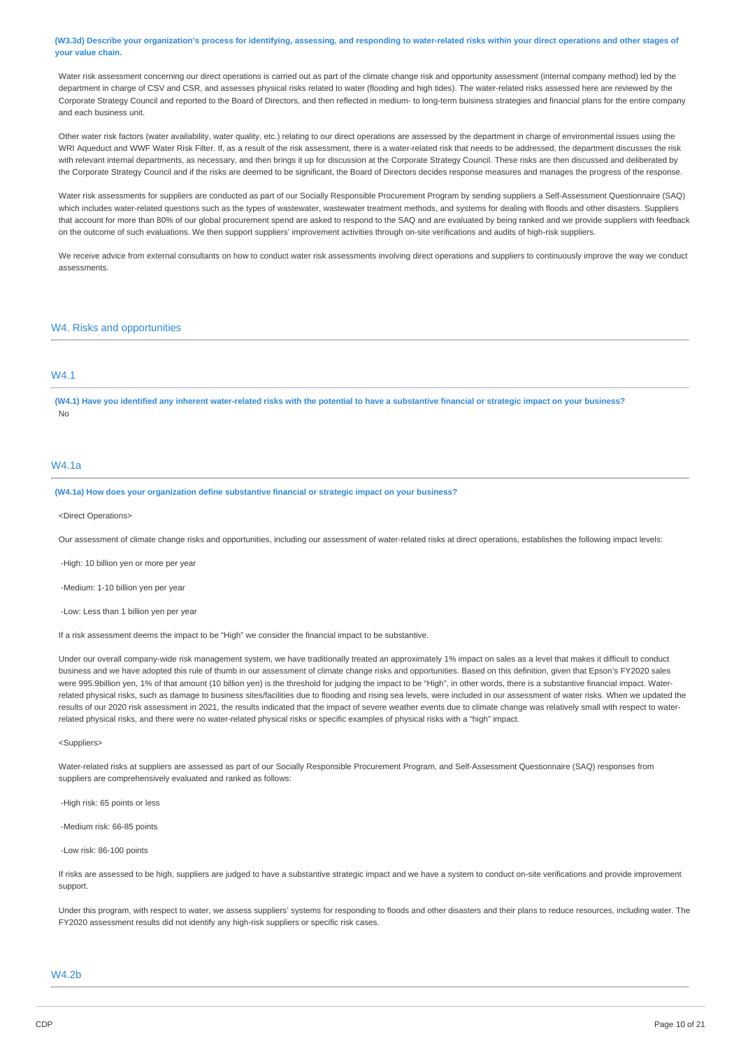(W3.3d) Describe your organization's process for identifying, assessing, and responding to water-related risks within your direct operations and other stages of **your value chain.**

Water risk assessment concerning our direct operations is carried out as part of the climate change risk and opportunity assessment (internal company method) led by the department in charge of CSV and CSR, and assesses physical risks related to water (flooding and high tides). The water-related risks assessed here are reviewed by the Corporate Strategy Council and reported to the Board of Directors, and then reflected in medium- to long-term buisiness strategies and financial plans for the entire company and each business unit.

Other water risk factors (water availability, water quality, etc.) relating to our direct operations are assessed by the department in charge of environmental issues using the WRI Aqueduct and WWF Water Risk Filter. If, as a result of the risk assessment, there is a water-related risk that needs to be addressed, the department discusses the risk with relevant internal departments, as necessary, and then brings it up for discussion at the Corporate Strategy Council. These risks are then discussed and deliberated by the Corporate Strategy Council and if the risks are deemed to be significant, the Board of Directors decides response measures and manages the progress of the response.

Water risk assessments for suppliers are conducted as part of our Socially Responsible Procurement Program by sending suppliers a Self-Assessment Questionnaire (SAQ) which includes water-related questions such as the types of wastewater, wastewater treatment methods, and systems for dealing with floods and other disasters. Suppliers that account for more than 80% of our global procurement spend are asked to respond to the SAQ and are evaluated by being ranked and we provide suppliers with feedback on the outcome of such evaluations. We then support suppliers' improvement activities through on-site verifications and audits of high-risk suppliers.

We receive advice from external consultants on how to conduct water risk assessments involving direct operations and suppliers to continuously improve the way we conduct assessments.

### W4. Risks and opportunities

# W4.1

(W4.1) Have you identified any inherent water-related risks with the potential to have a substantive financial or strategic impact on your business? No

#### W4.1a

#### **(W4.1a) How does your organization define substantive financial or strategic impact on your business?**

<Direct Operations>

Our assessment of climate change risks and opportunities, including our assessment of water-related risks at direct operations, establishes the following impact levels:

-High: 10 billion yen or more per year

-Medium: 1-10 billion yen per year

-Low: Less than 1 billion yen per year

If a risk assessment deems the impact to be "High" we consider the financial impact to be substantive.

Under our overall company-wide risk management system, we have traditionally treated an approximately 1% impact on sales as a level that makes it difficult to conduct business and we have adopted this rule of thumb in our assessment of climate change risks and opportunities. Based on this definition, given that Epson's FY2020 sales were 995.9billion yen, 1% of that amount (10 billion yen) is the threshold for judging the impact to be "High", in other words, there is a substantive financial impact. Waterrelated physical risks, such as damage to business sites/facilities due to flooding and rising sea levels, were included in our assessment of water risks. When we updated the results of our 2020 risk assessment in 2021, the results indicated that the impact of severe weather events due to climate change was relatively small with respect to waterrelated physical risks, and there were no water-related physical risks or specific examples of physical risks with a "high" impact.

<Suppliers>

Water-related risks at suppliers are assessed as part of our Socially Responsible Procurement Program, and Self-Assessment Questionnaire (SAQ) responses from suppliers are comprehensively evaluated and ranked as follows:

-High risk: 65 points or less

-Medium risk: 66-85 points

-Low risk: 86-100 points

If risks are assessed to be high, suppliers are judged to have a substantive strategic impact and we have a system to conduct on-site verifications and provide improvement support.

Under this program, with respect to water, we assess suppliers' systems for responding to floods and other disasters and their plans to reduce resources, including water. The FY2020 assessment results did not identify any high-risk suppliers or specific risk cases.

### W4.2b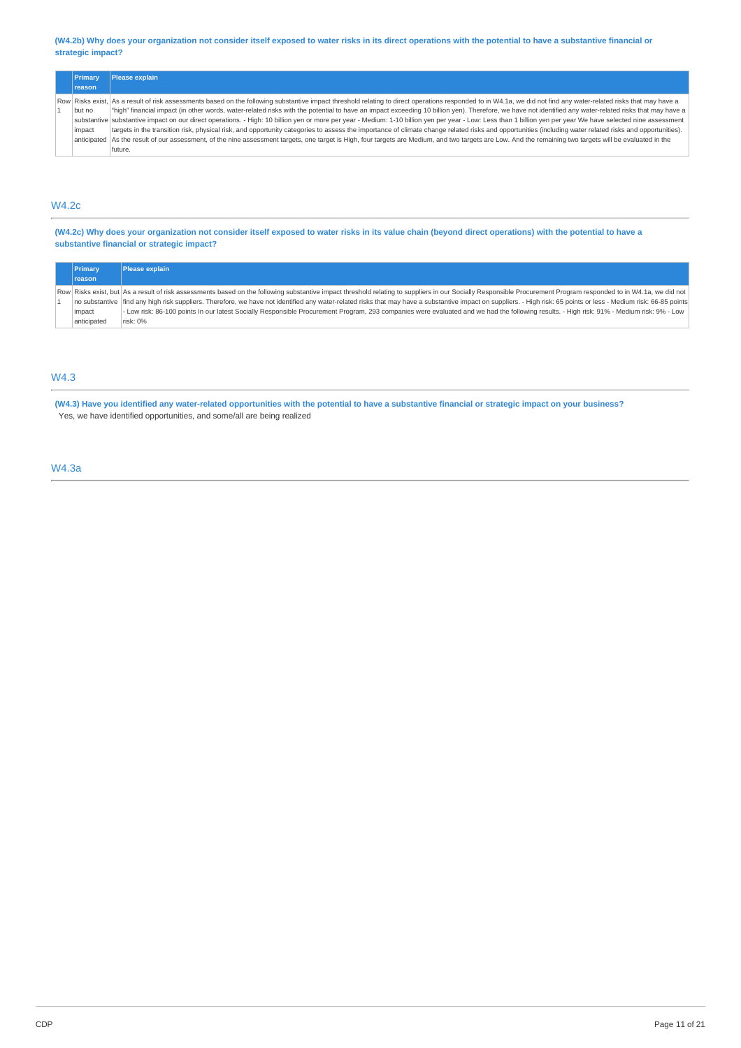(W4.2b) Why does your organization not consider itself exposed to water risks in its direct operations with the potential to have a substantive financial or **strategic impact?**

|  | Primary       | Please explain                                                                                                                                                                                                    |  |  |  |
|--|---------------|-------------------------------------------------------------------------------------------------------------------------------------------------------------------------------------------------------------------|--|--|--|
|  | <b>reason</b> |                                                                                                                                                                                                                   |  |  |  |
|  |               | Row Risks exist, As a result of risk assessments based on the following substantive impact threshold relating to direct operations responded to in W4.1a, we did not find any water-related risks that may have a |  |  |  |
|  | but no        | "high" financial impact (in other words, water-related risks with the potential to have an impact exceeding 10 billion yen). Therefore, we have not identified any water-related risks that may have a            |  |  |  |
|  |               | substantive substantive impact on our direct operations. - High: 10 billion yen or more per year - Medium: 1-10 billion yen per year - Low: Less than 1 billion yen per year We have selected nine assessment     |  |  |  |
|  | impact        | targets in the transition risk, physical risk, and opportunity categories to assess the importance of climate change related risks and opportunities (including water related risks and opportunities).           |  |  |  |
|  |               | anticipated As the result of our assessment, of the nine assessment targets, one target is High, four targets are Medium, and two targets are Low. And the remaining two targets will be evaluated in the         |  |  |  |
|  |               | future.                                                                                                                                                                                                           |  |  |  |

## W4.2c

(W4.2c) Why does your organization not consider itself exposed to water risks in its value chain (beyond direct operations) with the potential to have a **substantive financial or strategic impact?**

| Primary       | Please explain                                                                                                                                                                                                     |
|---------------|--------------------------------------------------------------------------------------------------------------------------------------------------------------------------------------------------------------------|
| <b>reason</b> |                                                                                                                                                                                                                    |
|               | Row Risks exist, but As a result of risk assessments based on the following substantive impact threshold relating to suppliers in our Socially Responsible Procurement Program responded to in W4.1a, we did not   |
|               | no substantive find any high risk suppliers. Therefore, we have not identified any water-related risks that may have a substantive impact on suppliers. - High risk: 65 points or less - Medium risk: 66-85 points |
| impact        | - Low risk: 86-100 points In our latest Socially Responsible Procurement Program, 293 companies were evaluated and we had the following results. - High risk: 91% - Medium risk: 9% - Low                          |
| anticipated   | risk: 0%                                                                                                                                                                                                           |

## W4.3

(W4.3) Have you identified any water-related opportunities with the potential to have a substantive financial or strategic impact on your business? Yes, we have identified opportunities, and some/all are being realized

## W4.3a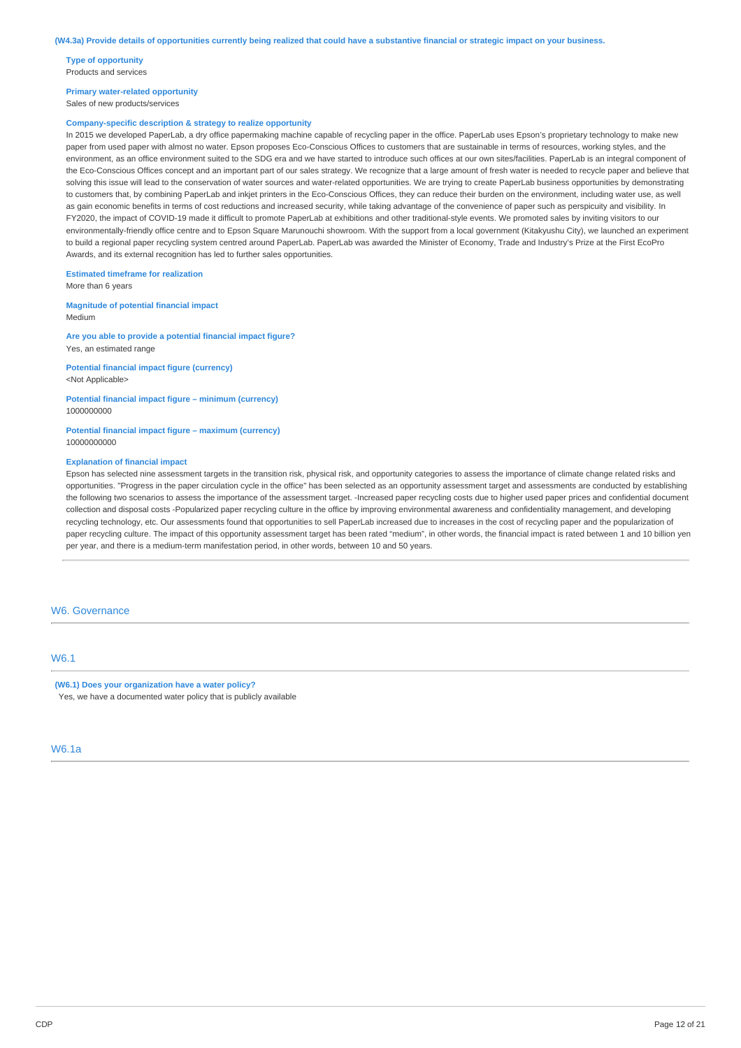**Type of opportunity** Products and services

**Primary water-related opportunity** Sales of new products/services

#### **Company-specific description & strategy to realize opportunity**

In 2015 we developed PaperLab, a dry office papermaking machine capable of recycling paper in the office. PaperLab uses Epson's proprietary technology to make new paper from used paper with almost no water. Epson proposes Eco-Conscious Offices to customers that are sustainable in terms of resources, working styles, and the environment, as an office environment suited to the SDG era and we have started to introduce such offices at our own sites/facilities. PaperLab is an integral component of the Eco-Conscious Offices concept and an important part of our sales strategy. We recognize that a large amount of fresh water is needed to recycle paper and believe that solving this issue will lead to the conservation of water sources and water-related opportunities. We are trying to create PaperLab business opportunities by demonstrating to customers that, by combining PaperLab and inkjet printers in the Eco-Conscious Offices, they can reduce their burden on the environment, including water use, as well as gain economic benefits in terms of cost reductions and increased security, while taking advantage of the convenience of paper such as perspicuity and visibility. In FY2020, the impact of COVID-19 made it difficult to promote PaperLab at exhibitions and other traditional-style events. We promoted sales by inviting visitors to our environmentally-friendly office centre and to Epson Square Marunouchi showroom. With the support from a local government (Kitakyushu City), we launched an experiment to build a regional paper recycling system centred around PaperLab. PaperLab was awarded the Minister of Economy, Trade and Industry's Prize at the First EcoPro Awards, and its external recognition has led to further sales opportunities.

#### **Estimated timeframe for realization**

More than 6 years

**Magnitude of potential financial impact** Medium

**Are you able to provide a potential financial impact figure?** Yes, an estimated range

**Potential financial impact figure (currency)** <Not Applicable>

**Potential financial impact figure – minimum (currency)** 1000000000

**Potential financial impact figure – maximum (currency)** 10000000000

#### **Explanation of financial impact**

Epson has selected nine assessment targets in the transition risk, physical risk, and opportunity categories to assess the importance of climate change related risks and opportunities. "Progress in the paper circulation cycle in the office" has been selected as an opportunity assessment target and assessments are conducted by establishing the following two scenarios to assess the importance of the assessment target. -Increased paper recycling costs due to higher used paper prices and confidential document collection and disposal costs -Popularized paper recycling culture in the office by improving environmental awareness and confidentiality management, and developing recycling technology, etc. Our assessments found that opportunities to sell PaperLab increased due to increases in the cost of recycling paper and the popularization of paper recycling culture. The impact of this opportunity assessment target has been rated "medium", in other words, the financial impact is rated between 1 and 10 billion yen per year, and there is a medium-term manifestation period, in other words, between 10 and 50 years.

#### W6. Governance

### W6.1

**(W6.1) Does your organization have a water policy?** Yes, we have a documented water policy that is publicly available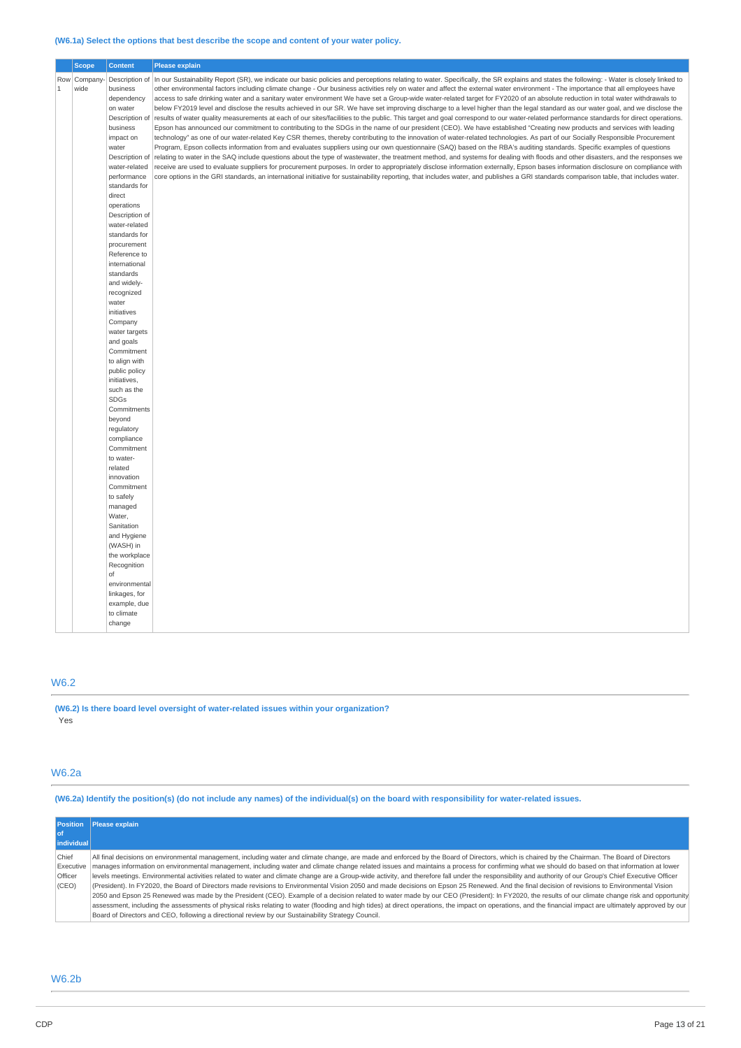### **(W6.1a) Select the options that best describe the scope and content of your water policy.**

|       | <b>Scope</b> | <b>Content</b>                | <b>Please explain</b>                                                                                                                                                                                                                                                                                                                                             |  |  |
|-------|--------------|-------------------------------|-------------------------------------------------------------------------------------------------------------------------------------------------------------------------------------------------------------------------------------------------------------------------------------------------------------------------------------------------------------------|--|--|
|       | Row Company  | Description of                | In our Sustainability Report (SR), we indicate our basic policies and perceptions relating to water. Specifically, the SR explains and states the following: - Water is closely linked to                                                                                                                                                                         |  |  |
| $1\,$ | wide         | business                      | other environmental factors including climate change - Our business activities rely on water and affect the external water environment - The importance that all employees have                                                                                                                                                                                   |  |  |
|       |              | dependency                    | access to safe drinking water and a sanitary water environment We have set a Group-wide water-related target for FY2020 of an absolute reduction in total water withdrawals to                                                                                                                                                                                    |  |  |
|       |              | on water                      | below FY2019 level and disclose the results achieved in our SR. We have set improving discharge to a level higher than the legal standard as our water goal, and we disclose the                                                                                                                                                                                  |  |  |
|       |              | Description o<br>business     | results of water quality measurements at each of our sites/facilities to the public. This target and goal correspond to our water-related performance standards for direct operations.<br>Epson has announced our commitment to contributing to the SDGs in the name of our president (CEO). We have established "Creating new products and services with leading |  |  |
|       |              | impact on                     | technology" as one of our water-related Key CSR themes, thereby contributing to the innovation of water-related technologies. As part of our Socially Responsible Procurement                                                                                                                                                                                     |  |  |
|       |              | water                         | Program, Epson collects information from and evaluates suppliers using our own questionnaire (SAQ) based on the RBA's auditing standards. Specific examples of questions                                                                                                                                                                                          |  |  |
|       |              | Description o                 | relating to water in the SAQ include questions about the type of wastewater, the treatment method, and systems for dealing with floods and other disasters, and the responses we                                                                                                                                                                                  |  |  |
|       |              | water-related                 | receive are used to evaluate suppliers for procurement purposes. In order to appropriately disclose information externally, Epson bases information disclosure on compliance with                                                                                                                                                                                 |  |  |
|       |              | performance                   | core options in the GRI standards, an international initiative for sustainability reporting, that includes water, and publishes a GRI standards comparison table, that includes water.                                                                                                                                                                            |  |  |
|       |              | standards for                 |                                                                                                                                                                                                                                                                                                                                                                   |  |  |
|       |              | direct                        |                                                                                                                                                                                                                                                                                                                                                                   |  |  |
|       |              | operations<br>Description of  |                                                                                                                                                                                                                                                                                                                                                                   |  |  |
|       |              | water-related                 |                                                                                                                                                                                                                                                                                                                                                                   |  |  |
|       |              | standards for                 |                                                                                                                                                                                                                                                                                                                                                                   |  |  |
|       |              | procurement                   |                                                                                                                                                                                                                                                                                                                                                                   |  |  |
|       |              | Reference to                  |                                                                                                                                                                                                                                                                                                                                                                   |  |  |
|       |              | international                 |                                                                                                                                                                                                                                                                                                                                                                   |  |  |
|       |              | standards                     |                                                                                                                                                                                                                                                                                                                                                                   |  |  |
|       |              | and widely-<br>recognized     |                                                                                                                                                                                                                                                                                                                                                                   |  |  |
|       |              | water                         |                                                                                                                                                                                                                                                                                                                                                                   |  |  |
|       |              | initiatives                   |                                                                                                                                                                                                                                                                                                                                                                   |  |  |
|       |              | Company                       |                                                                                                                                                                                                                                                                                                                                                                   |  |  |
|       |              | water targets                 |                                                                                                                                                                                                                                                                                                                                                                   |  |  |
|       |              | and goals                     |                                                                                                                                                                                                                                                                                                                                                                   |  |  |
|       |              | Commitment                    |                                                                                                                                                                                                                                                                                                                                                                   |  |  |
|       |              | to align with                 |                                                                                                                                                                                                                                                                                                                                                                   |  |  |
|       |              | public policy<br>initiatives, |                                                                                                                                                                                                                                                                                                                                                                   |  |  |
|       |              | such as the                   |                                                                                                                                                                                                                                                                                                                                                                   |  |  |
|       |              | <b>SDGs</b>                   |                                                                                                                                                                                                                                                                                                                                                                   |  |  |
|       |              | Commitments                   |                                                                                                                                                                                                                                                                                                                                                                   |  |  |
|       |              | beyond                        |                                                                                                                                                                                                                                                                                                                                                                   |  |  |
|       |              | regulatory                    |                                                                                                                                                                                                                                                                                                                                                                   |  |  |
|       |              | compliance                    |                                                                                                                                                                                                                                                                                                                                                                   |  |  |
|       |              | Commitment<br>to water-       |                                                                                                                                                                                                                                                                                                                                                                   |  |  |
|       |              | related                       |                                                                                                                                                                                                                                                                                                                                                                   |  |  |
|       |              | innovation                    |                                                                                                                                                                                                                                                                                                                                                                   |  |  |
|       |              | Commitment                    |                                                                                                                                                                                                                                                                                                                                                                   |  |  |
|       |              | to safely                     |                                                                                                                                                                                                                                                                                                                                                                   |  |  |
|       |              | managed                       |                                                                                                                                                                                                                                                                                                                                                                   |  |  |
|       |              | Water,                        |                                                                                                                                                                                                                                                                                                                                                                   |  |  |
|       |              | Sanitation                    |                                                                                                                                                                                                                                                                                                                                                                   |  |  |
|       |              | and Hygiene<br>(WASH) in      |                                                                                                                                                                                                                                                                                                                                                                   |  |  |
|       |              | the workplace                 |                                                                                                                                                                                                                                                                                                                                                                   |  |  |
|       |              | Recognition                   |                                                                                                                                                                                                                                                                                                                                                                   |  |  |
|       |              | of                            |                                                                                                                                                                                                                                                                                                                                                                   |  |  |
|       |              | environmental                 |                                                                                                                                                                                                                                                                                                                                                                   |  |  |
|       |              | linkages, for                 |                                                                                                                                                                                                                                                                                                                                                                   |  |  |
|       |              | example, due                  |                                                                                                                                                                                                                                                                                                                                                                   |  |  |
|       |              | to climate                    |                                                                                                                                                                                                                                                                                                                                                                   |  |  |
|       |              | change                        |                                                                                                                                                                                                                                                                                                                                                                   |  |  |

## W6.2

**(W6.2) Is there board level oversight of water-related issues within your organization?** .<br>Yes

### W6.2a

(W6.2a) Identify the position(s) (do not include any names) of the individual(s) on the board with responsibility for water-related issues.

| <b>Position</b><br>l of<br>individual  | Please explain                                                                                                                                                                                                                                                                                                                                                                                                                                                                                                                                                                                                                                                                                                                                                                                                                                                                                                                                                                                                                                                                                                                                                                                                                                                                                                                           |
|----------------------------------------|------------------------------------------------------------------------------------------------------------------------------------------------------------------------------------------------------------------------------------------------------------------------------------------------------------------------------------------------------------------------------------------------------------------------------------------------------------------------------------------------------------------------------------------------------------------------------------------------------------------------------------------------------------------------------------------------------------------------------------------------------------------------------------------------------------------------------------------------------------------------------------------------------------------------------------------------------------------------------------------------------------------------------------------------------------------------------------------------------------------------------------------------------------------------------------------------------------------------------------------------------------------------------------------------------------------------------------------|
| Chief<br>Executive<br>Officer<br>(CEO) | All final decisions on environmental management, including water and climate change, are made and enforced by the Board of Directors, which is chaired by the Chairman. The Board of Directors<br>manages information on environmental management, including water and climate change related issues and maintains a process for confirming what we should do based on that information at lower<br>levels meetings. Environmental activities related to water and climate change are a Group-wide activity, and therefore fall under the responsibility and authority of our Group's Chief Executive Officer<br>(President). In FY2020, the Board of Directors made revisions to Environmental Vision 2050 and made decisions on Epson 25 Renewed. And the final decision of revisions to Environmental Vision<br>2050 and Epson 25 Renewed was made by the President (CEO). Example of a decision related to water made by our CEO (President): In FY2020, the results of our climate change risk and opportunity<br>assessment, including the assessments of physical risks relating to water (flooding and high tides) at direct operations, the impact on operations, and the financial impact are ultimately approved by our<br>Board of Directors and CEO, following a directional review by our Sustainability Strategy Council. |

## W6.2b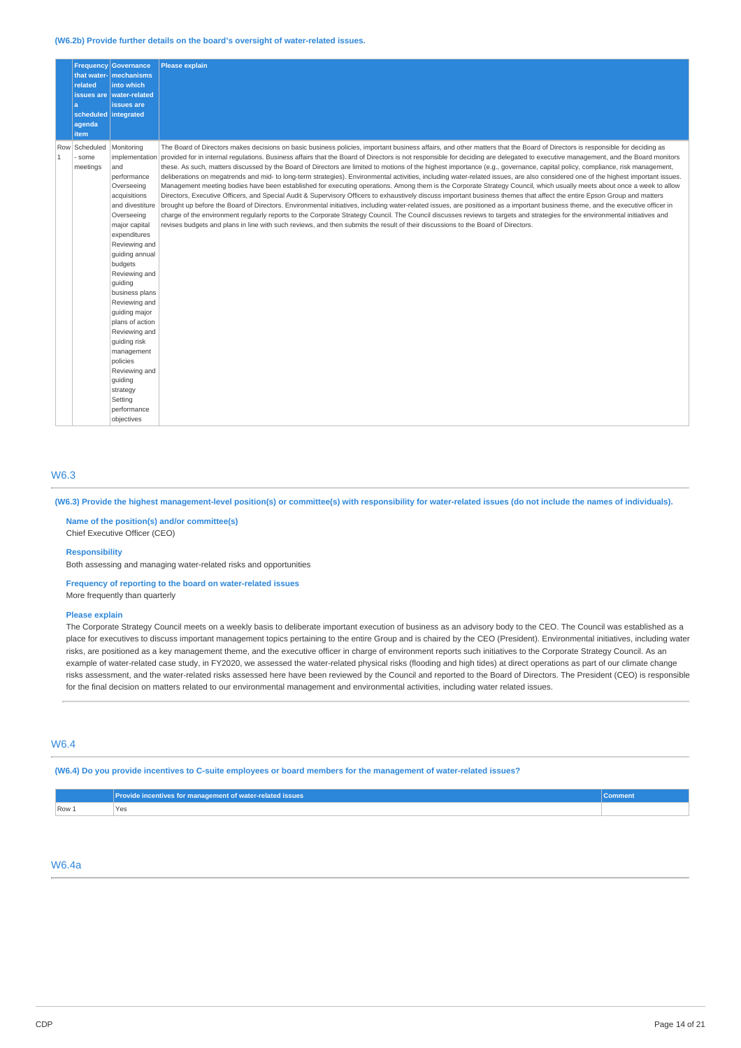#### **(W6.2b) Provide further details on the board's oversight of water-related issues.**

|              | related                                       | <b>Frequency Governance</b><br>that water- mechanisms<br>into which<br>issues are   water-related                                                                                                                                                                                                                                                                                                                            | <b>Please explain</b>                                                                                                                                                                                                                                                                                                                                                                                                                                                                                                                                                                                                                                                                                                                                                                                                                                                                                                                                                                                                                                                                                                                                                                                                                                                                                                                                                                                                                                                                                                                                                                                            |
|--------------|-----------------------------------------------|------------------------------------------------------------------------------------------------------------------------------------------------------------------------------------------------------------------------------------------------------------------------------------------------------------------------------------------------------------------------------------------------------------------------------|------------------------------------------------------------------------------------------------------------------------------------------------------------------------------------------------------------------------------------------------------------------------------------------------------------------------------------------------------------------------------------------------------------------------------------------------------------------------------------------------------------------------------------------------------------------------------------------------------------------------------------------------------------------------------------------------------------------------------------------------------------------------------------------------------------------------------------------------------------------------------------------------------------------------------------------------------------------------------------------------------------------------------------------------------------------------------------------------------------------------------------------------------------------------------------------------------------------------------------------------------------------------------------------------------------------------------------------------------------------------------------------------------------------------------------------------------------------------------------------------------------------------------------------------------------------------------------------------------------------|
|              | l a<br>scheduled integrated<br>agenda<br>item | issues are                                                                                                                                                                                                                                                                                                                                                                                                                   |                                                                                                                                                                                                                                                                                                                                                                                                                                                                                                                                                                                                                                                                                                                                                                                                                                                                                                                                                                                                                                                                                                                                                                                                                                                                                                                                                                                                                                                                                                                                                                                                                  |
| $\mathbf{1}$ | Row Scheduled<br>- some<br>meetings           | Monitoring<br>and<br>performance<br>Overseeing<br>acquisitions<br>and divestiture<br>Overseeing<br>major capital<br>expenditures<br>Reviewing and<br>quiding annual<br>budgets<br>Reviewing and<br>quiding<br>business plans<br>Reviewing and<br>quiding major<br>plans of action<br>Reviewing and<br>guiding risk<br>management<br>policies<br>Reviewing and<br>quiding<br>strategy<br>Setting<br>performance<br>objectives | The Board of Directors makes decisions on basic business policies, important business affairs, and other matters that the Board of Directors is responsible for deciding as<br>implementation provided for in internal regulations. Business affairs that the Board of Directors is not responsible for deciding are delegated to executive management, and the Board monitors<br>these. As such, matters discussed by the Board of Directors are limited to motions of the highest importance (e.g., governance, capital policy, compliance, risk management,<br>deliberations on megatrends and mid- to long-term strategies). Environmental activities, including water-related issues, are also considered one of the highest important issues.<br>Management meeting bodies have been established for executing operations. Among them is the Corporate Strategy Council, which usually meets about once a week to allow<br>Directors, Executive Officers, and Special Audit & Supervisory Officers to exhaustively discuss important business themes that affect the entire Epson Group and matters<br>brought up before the Board of Directors. Environmental initiatives, including water-related issues, are positioned as a important business theme, and the executive officer in<br>charge of the environment regularly reports to the Corporate Strategy Council. The Council discusses reviews to targets and strategies for the environmental initiatives and<br>revises budgets and plans in line with such reviews, and then submits the result of their discussions to the Board of Directors. |

### W6.3

### (W6.3) Provide the highest management-level position(s) or committee(s) with responsibility for water-related issues (do not include the names of individuals).

**Name of the position(s) and/or committee(s)** Chief Executive Officer (CEO)

### **Responsibility**

Both assessing and managing water-related risks and opportunities

**Frequency of reporting to the board on water-related issues**

More frequently than quarterly

#### **Please explain**

The Corporate Strategy Council meets on a weekly basis to deliberate important execution of business as an advisory body to the CEO. The Council was established as a place for executives to discuss important management topics pertaining to the entire Group and is chaired by the CEO (President). Environmental initiatives, including water risks, are positioned as a key management theme, and the executive officer in charge of environment reports such initiatives to the Corporate Strategy Council. As an example of water-related case study, in FY2020, we assessed the water-related physical risks (flooding and high tides) at direct operations as part of our climate change risks assessment, and the water-related risks assessed here have been reviewed by the Council and reported to the Board of Directors. The President (CEO) is responsible for the final decision on matters related to our environmental management and environmental activities, including water related issues.

### W6.4

(W6.4) Do you provide incentives to C-suite employees or board members for the management of water-related issues?

|       | Provide incentives for management of water-related issues | Comment |
|-------|-----------------------------------------------------------|---------|
| Row 1 | 'Yes                                                      |         |

### W6.4a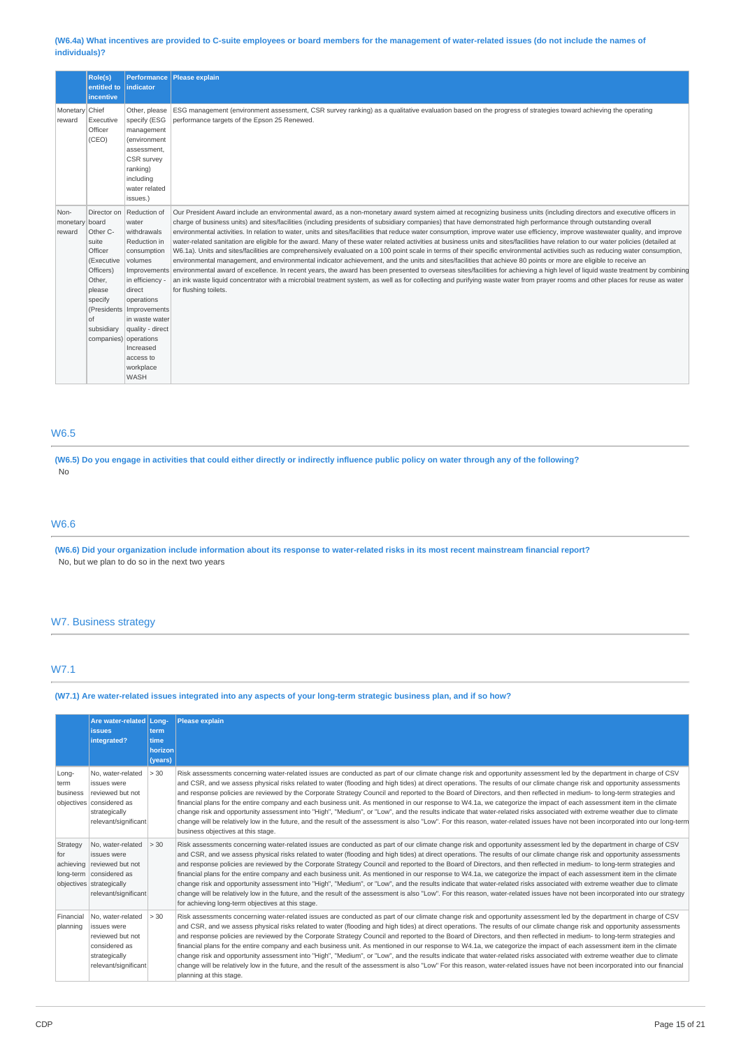#### (W6.4a) What incentives are provided to C-suite employees or board members for the management of water-related issues (do not include the names of **individuals)?**

|                          | Role(s)               |                                   | Performance Please explain                                                                                                                                                                                                                                                                                                                 |
|--------------------------|-----------------------|-----------------------------------|--------------------------------------------------------------------------------------------------------------------------------------------------------------------------------------------------------------------------------------------------------------------------------------------------------------------------------------------|
|                          | entitled to           | indicator                         |                                                                                                                                                                                                                                                                                                                                            |
|                          | incentive             |                                   |                                                                                                                                                                                                                                                                                                                                            |
| Monetary Chief           |                       | Other, please                     | ESG management (environment assessment, CSR survey ranking) as a qualitative evaluation based on the progress of strategies toward achieving the operating                                                                                                                                                                                 |
| reward                   | Executive             | specify (ESG                      | performance targets of the Epson 25 Renewed.                                                                                                                                                                                                                                                                                               |
|                          | Officer               | management                        |                                                                                                                                                                                                                                                                                                                                            |
|                          | (CEO)                 | (environment                      |                                                                                                                                                                                                                                                                                                                                            |
|                          |                       | assessment,                       |                                                                                                                                                                                                                                                                                                                                            |
|                          |                       | CSR survey<br>ranking)            |                                                                                                                                                                                                                                                                                                                                            |
|                          |                       | including                         |                                                                                                                                                                                                                                                                                                                                            |
|                          |                       | water related                     |                                                                                                                                                                                                                                                                                                                                            |
|                          |                       | issues.)                          |                                                                                                                                                                                                                                                                                                                                            |
|                          |                       |                                   |                                                                                                                                                                                                                                                                                                                                            |
| Non-                     |                       | Director on Reduction of<br>water | Our President Award include an environmental award, as a non-monetary award system aimed at recognizing business units (including directors and executive officers in<br>charge of business units) and sites/facilities (including presidents of subsidiary companies) that have demonstrated high performance through outstanding overall |
| monetary board<br>reward | Other C-              | withdrawals                       | environmental activities. In relation to water, units and sites/facilities that reduce water consumption, improve water use efficiency, improve wastewater quality, and improve                                                                                                                                                            |
|                          | suite                 | Reduction in                      | water-related sanitation are eligible for the award. Many of these water related activities at business units and sites/facilities have relation to our water policies (detailed at                                                                                                                                                        |
|                          | Officer               | consumption                       | W6.1a). Units and sites/facilities are comprehensively evaluated on a 100 point scale in terms of their specific environmental activities such as reducing water consumption,                                                                                                                                                              |
|                          | (Executive            | volumes                           | environmental management, and environmental indicator achievement, and the units and sites/facilities that achieve 80 points or more are eligible to receive an                                                                                                                                                                            |
|                          | Officers)             |                                   | Improvements environmental award of excellence. In recent years, the award has been presented to overseas sites/facilities for achieving a high level of liquid waste treatment by combining                                                                                                                                               |
|                          | Other,                | in efficiency -                   | an ink waste liquid concentrator with a microbial treatment system, as well as for collecting and purifying waste water from prayer rooms and other places for reuse as water                                                                                                                                                              |
|                          | please                | direct                            | for flushing toilets.                                                                                                                                                                                                                                                                                                                      |
|                          | specify               | operations                        |                                                                                                                                                                                                                                                                                                                                            |
|                          |                       | (Presidents   Improvements        |                                                                                                                                                                                                                                                                                                                                            |
|                          | of                    | in waste water                    |                                                                                                                                                                                                                                                                                                                                            |
|                          | subsidiary            | quality - direct                  |                                                                                                                                                                                                                                                                                                                                            |
|                          | companies) operations |                                   |                                                                                                                                                                                                                                                                                                                                            |
|                          |                       | Increased                         |                                                                                                                                                                                                                                                                                                                                            |
|                          |                       | access to<br>workplace            |                                                                                                                                                                                                                                                                                                                                            |
|                          |                       | <b>WASH</b>                       |                                                                                                                                                                                                                                                                                                                                            |
|                          |                       |                                   |                                                                                                                                                                                                                                                                                                                                            |

## W6.5

(W6.5) Do you engage in activities that could either directly or indirectly influence public policy on water through any of the following? No

## W6.6

(W6.6) Did your organization include information about its response to water-related risks in its most recent mainstream financial report? No, but we plan to do so in the next two years

### W7. Business strategy

### W7.1

(W7.1) Are water-related issues integrated into any aspects of your long-term strategic business plan, and if so how?

|                           | Are water-related Long-<br><b>issues</b><br>integrated?                                                                                           | term<br>time<br>horizon<br>(years) | <b>Please explain</b>                                                                                                                                                                                                                                                                                                                                                                                                                                                                                                                                                                                                                                                                                                                                                                                                                                                                                                                                                                                                                                                                                                   |
|---------------------------|---------------------------------------------------------------------------------------------------------------------------------------------------|------------------------------------|-------------------------------------------------------------------------------------------------------------------------------------------------------------------------------------------------------------------------------------------------------------------------------------------------------------------------------------------------------------------------------------------------------------------------------------------------------------------------------------------------------------------------------------------------------------------------------------------------------------------------------------------------------------------------------------------------------------------------------------------------------------------------------------------------------------------------------------------------------------------------------------------------------------------------------------------------------------------------------------------------------------------------------------------------------------------------------------------------------------------------|
| Long-<br>term<br>business | No. water-related<br>issues were<br>reviewed but not<br>objectives considered as<br>strategically<br>relevant/significant                         | > 30                               | Risk assessments concerning water-related issues are conducted as part of our climate change risk and opportunity assessment led by the department in charge of CSV<br>and CSR, and we assess physical risks related to water (flooding and high tides) at direct operations. The results of our climate change risk and opportunity assessments<br>and response policies are reviewed by the Corporate Strategy Council and reported to the Board of Directors, and then reflected in medium- to long-term strategies and<br>financial plans for the entire company and each business unit. As mentioned in our response to W4.1a, we categorize the impact of each assessment item in the climate<br>change risk and opportunity assessment into "High", "Medium", or "Low", and the results indicate that water-related risks associated with extreme weather due to climate<br>change will be relatively low in the future, and the result of the assessment is also "Low". For this reason, water-related issues have not been incorporated into our long-term<br>business objectives at this stage.               |
| Strategy<br>for           | No, water-related<br>issues were<br>achieving   reviewed but not<br>long-term   considered as<br>objectives strategically<br>relevant/significant | > 30                               | Risk assessments concerning water-related issues are conducted as part of our climate change risk and opportunity assessment led by the department in charge of CSV<br>and CSR, and we assess physical risks related to water (flooding and high tides) at direct operations. The results of our climate change risk and opportunity assessments<br>and response policies are reviewed by the Corporate Strategy Council and reported to the Board of Directors, and then reflected in medium- to long-term strategies and<br>financial plans for the entire company and each business unit. As mentioned in our response to W4.1a, we categorize the impact of each assessment item in the climate<br>change risk and opportunity assessment into "High", "Medium", or "Low", and the results indicate that water-related risks associated with extreme weather due to climate<br>change will be relatively low in the future, and the result of the assessment is also "Low". For this reason, water-related issues have not been incorporated into our strategy<br>for achieving long-term objectives at this stage. |
| Financial<br>planning     | No. water-related<br>issues were<br>reviewed but not<br>considered as<br>strategically<br>relevant/significant                                    | > 30                               | Risk assessments concerning water-related issues are conducted as part of our climate change risk and opportunity assessment led by the department in charge of CSV<br>and CSR, and we assess physical risks related to water (flooding and high tides) at direct operations. The results of our climate change risk and opportunity assessments<br>and response policies are reviewed by the Corporate Strategy Council and reported to the Board of Directors, and then reflected in medium- to long-term strategies and<br>financial plans for the entire company and each business unit. As mentioned in our response to W4.1a, we categorize the impact of each assessment item in the climate<br>change risk and opportunity assessment into "High", "Medium", or "Low", and the results indicate that water-related risks associated with extreme weather due to climate<br>change will be relatively low in the future, and the result of the assessment is also "Low" For this reason, water-related issues have not been incorporated into our financial<br>planning at this stage.                           |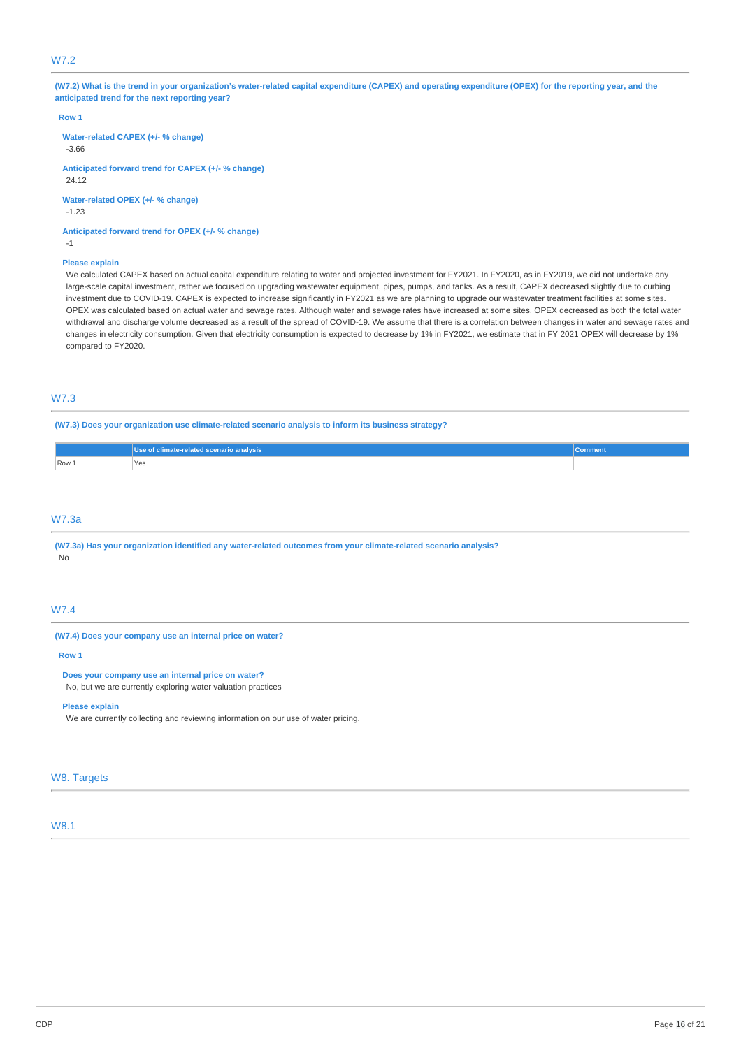### W7.2

(W7.2) What is the trend in your organization's water-related capital expenditure (CAPEX) and operating expenditure (OPEX) for the reporting year, and the **anticipated trend for the next reporting year?**

#### **Row 1**

**Water-related CAPEX (+/- % change)**

-3.66

**Anticipated forward trend for CAPEX (+/- % change)** 24.12

**Water-related OPEX (+/- % change)** -1.23

**Anticipated forward trend for OPEX (+/- % change)** -1

### **Please explain**

We calculated CAPEX based on actual capital expenditure relating to water and projected investment for FY2021. In FY2020, as in FY2019, we did not undertake any large-scale capital investment, rather we focused on upgrading wastewater equipment, pipes, pumps, and tanks. As a result, CAPEX decreased slightly due to curbing investment due to COVID-19. CAPEX is expected to increase significantly in FY2021 as we are planning to upgrade our wastewater treatment facilities at some sites. OPEX was calculated based on actual water and sewage rates. Although water and sewage rates have increased at some sites, OPEX decreased as both the total water withdrawal and discharge volume decreased as a result of the spread of COVID-19. We assume that there is a correlation between changes in water and sewage rates and changes in electricity consumption. Given that electricity consumption is expected to decrease by 1% in FY2021, we estimate that in FY 2021 OPEX will decrease by 1% compared to FY2020.

### W7.3

**(W7.3) Does your organization use climate-related scenario analysis to inform its business strategy?**

| <b>comment</b> | ated scenario analysis,<br><b>Arelated</b> |
|----------------|--------------------------------------------|
|                | Row 1<br>Yes                               |

### W7.3a

**(W7.3a) Has your organization identified any water-related outcomes from your climate-related scenario analysis?** No

### W7.4

#### **(W7.4) Does your company use an internal price on water?**

#### **Row 1**

**Does your company use an internal price on water?**

No, but we are currently exploring water valuation practices

### **Please explain**

We are currently collecting and reviewing information on our use of water pricing.

#### W8. Targets

## W8.1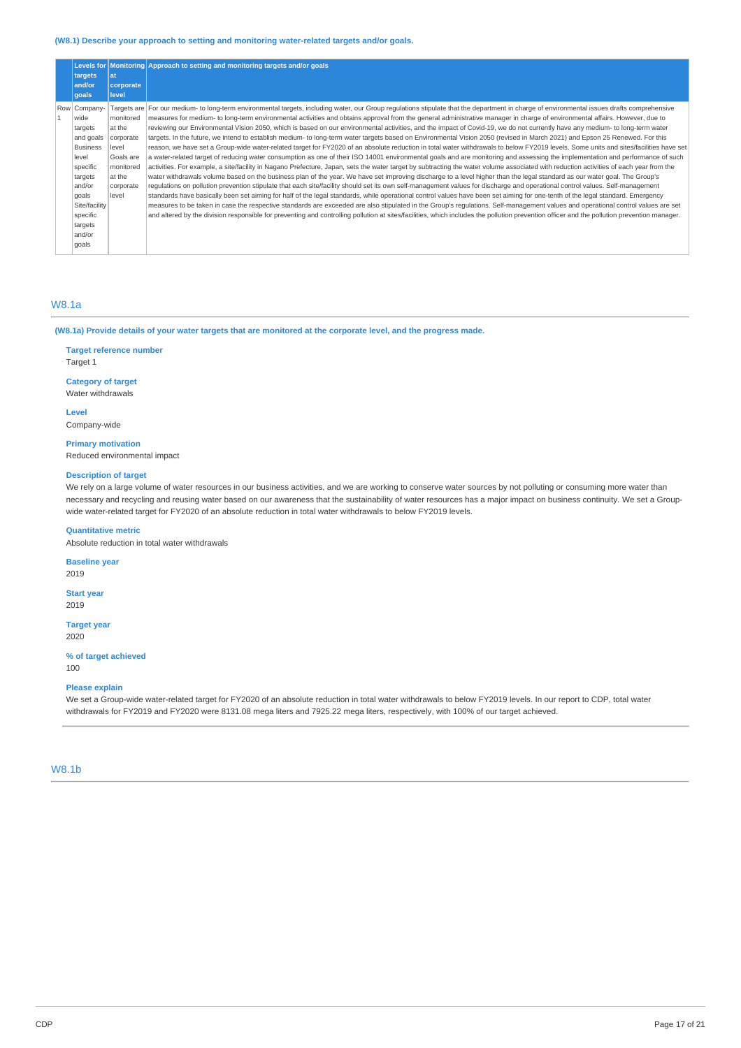### **(W8.1) Describe your approach to setting and monitoring water-related targets and/or goals.**

| targets<br>and/or<br>qoals                                                                                                                                                    | lat<br>corporate<br>level                                                                           | Levels for Monitoring Approach to setting and monitoring targets and/or goals                                                                                                                                                                                                                                                                                                                                                                                                                                                                                                                                                                                                                                                                                                                                                                                                                                                                                                                                                                                                                                                                                                                                                                                                                                                                                                                                                                                                                                                                                                                                                                                                                                                                                                                                                                                                                                                                                                                                                                                                                                                                                                                                                                     |
|-------------------------------------------------------------------------------------------------------------------------------------------------------------------------------|-----------------------------------------------------------------------------------------------------|---------------------------------------------------------------------------------------------------------------------------------------------------------------------------------------------------------------------------------------------------------------------------------------------------------------------------------------------------------------------------------------------------------------------------------------------------------------------------------------------------------------------------------------------------------------------------------------------------------------------------------------------------------------------------------------------------------------------------------------------------------------------------------------------------------------------------------------------------------------------------------------------------------------------------------------------------------------------------------------------------------------------------------------------------------------------------------------------------------------------------------------------------------------------------------------------------------------------------------------------------------------------------------------------------------------------------------------------------------------------------------------------------------------------------------------------------------------------------------------------------------------------------------------------------------------------------------------------------------------------------------------------------------------------------------------------------------------------------------------------------------------------------------------------------------------------------------------------------------------------------------------------------------------------------------------------------------------------------------------------------------------------------------------------------------------------------------------------------------------------------------------------------------------------------------------------------------------------------------------------------|
| Row Company-<br>wide<br>targets<br>and goals<br><b>Business</b><br>level<br>specific<br>targets<br>and/or<br>goals<br>Site/facility<br>specific<br>targets<br>and/or<br>qoals | monitored<br>at the<br>corporate<br>level<br>Goals are<br>monitored<br>at the<br>corporate<br>level | Targets are For our medium- to long-term environmental targets, including water, our Group regulations stipulate that the department in charge of environmental issues drafts comprehensive<br>measures for medium- to long-term environmental activities and obtains approval from the general administrative manager in charge of environmental affairs. However, due to<br>reviewing our Environmental Vision 2050, which is based on our environmental activities, and the impact of Covid-19, we do not currently have any medium- to long-term water<br>targets. In the future, we intend to establish medium- to long-term water targets based on Environmental Vision 2050 (revised in March 2021) and Epson 25 Renewed. For this<br>reason, we have set a Group-wide water-related target for FY2020 of an absolute reduction in total water withdrawals to below FY2019 levels. Some units and sites/facilities have set<br>a water-related target of reducing water consumption as one of their ISO 14001 environmental goals and are monitoring and assessing the implementation and performance of such<br>activities. For example, a site/facility in Nagano Prefecture, Japan, sets the water target by subtracting the water volume associated with reduction activities of each year from the<br>water withdrawals volume based on the business plan of the year. We have set improving discharge to a level higher than the legal standard as our water goal. The Group's<br>regulations on pollution prevention stipulate that each site/facility should set its own self-management values for discharge and operational control values. Self-management<br>standards have basically been set aiming for half of the legal standards, while operational control values have been set aiming for one-tenth of the legal standard. Emergency<br>measures to be taken in case the respective standards are exceeded are also stipulated in the Group's regulations. Self-management values and operational control values are set<br>and altered by the division responsible for preventing and controlling pollution at sites/facilities, which includes the pollution prevention officer and the pollution prevention manager. |

### W8.1a

(W8.1a) Provide details of your water targets that are monitored at the corporate level, and the progress made.

## **Target reference number**

Target 1

# **Category of target**

Water withdrawals

**Level** Company-wide

### **Primary motivation** Reduced environmental impact

**Description of target**

We rely on a large volume of water resources in our business activities, and we are working to conserve water sources by not polluting or consuming more water than necessary and recycling and reusing water based on our awareness that the sustainability of water resources has a major impact on business continuity. We set a Groupwide water-related target for FY2020 of an absolute reduction in total water withdrawals to below FY2019 levels.

#### **Quantitative metric**

Absolute reduction in total water withdrawals

### **Baseline year**

2019

**Start year** 2019

### **Target year**

2020

#### **% of target achieved** 100

### **Please explain**

We set a Group-wide water-related target for FY2020 of an absolute reduction in total water withdrawals to below FY2019 levels. In our report to CDP, total water withdrawals for FY2019 and FY2020 were 8131.08 mega liters and 7925.22 mega liters, respectively, with 100% of our target achieved.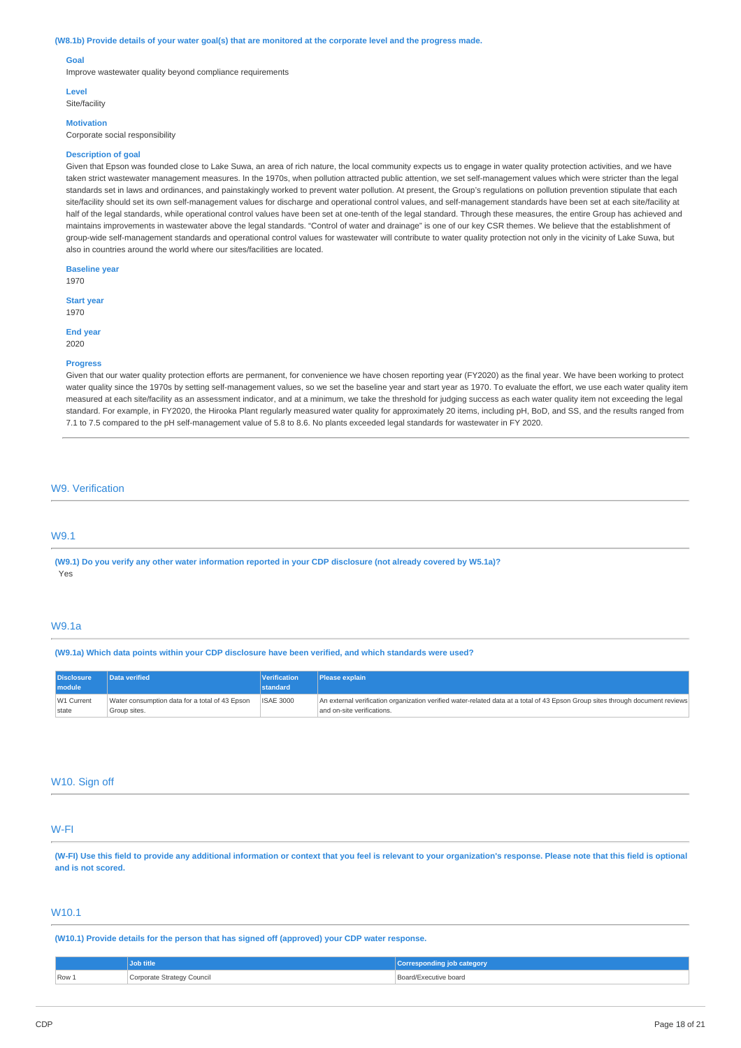#### (W8.1b) Provide details of your water goal(s) that are monitored at the corporate level and the progress made.

#### **Goal**

Improve wastewater quality beyond compliance requirements

#### **Level**

Site/facility

## **Motivation**

Corporate social responsibility

#### **Description of goal**

Given that Epson was founded close to Lake Suwa, an area of rich nature, the local community expects us to engage in water quality protection activities, and we have taken strict wastewater management measures. In the 1970s, when pollution attracted public attention, we set self-management values which were stricter than the legal standards set in laws and ordinances, and painstakingly worked to prevent water pollution. At present, the Group's regulations on pollution prevention stipulate that each site/facility should set its own self-management values for discharge and operational control values, and self-management standards have been set at each site/facility at half of the legal standards, while operational control values have been set at one-tenth of the legal standard. Through these measures, the entire Group has achieved and maintains improvements in wastewater above the legal standards. "Control of water and drainage" is one of our key CSR themes. We believe that the establishment of group-wide self-management standards and operational control values for wastewater will contribute to water quality protection not only in the vicinity of Lake Suwa, but also in countries around the world where our sites/facilities are located.

**Baseline year** 1970

**Start year** 1970

**End year** 2020

#### **Progress**

Given that our water quality protection efforts are permanent, for convenience we have chosen reporting year (FY2020) as the final year. We have been working to protect water quality since the 1970s by setting self-management values, so we set the baseline year and start year as 1970. To evaluate the effort, we use each water quality item measured at each site/facility as an assessment indicator, and at a minimum, we take the threshold for judging success as each water quality item not exceeding the legal standard. For example, in FY2020, the Hirooka Plant regularly measured water quality for approximately 20 items, including pH, BoD, and SS, and the results ranged from 7.1 to 7.5 compared to the pH self-management value of 5.8 to 8.6. No plants exceeded legal standards for wastewater in FY 2020.

#### W9. Verification

### W9.1

(W9.1) Do you verify any other water information reported in your CDP disclosure (not already covered by W5.1a)? Yes

### W9.1a

**(W9.1a) Which data points within your CDP disclosure have been verified, and which standards were used?**

| <b>Disclosure</b><br>module | Data verified                                  | Verification<br>standard | Please explain                                                                                                                |
|-----------------------------|------------------------------------------------|--------------------------|-------------------------------------------------------------------------------------------------------------------------------|
| W1 Current                  | Water consumption data for a total of 43 Epson | <b>ISAE 3000</b>         | An external verification organization verified water-related data at a total of 43 Epson Group sites through document reviews |
| state                       | Group sites.                                   |                          | and on-site verifications.                                                                                                    |

### W10. Sign off

### W-FI

(W-FI) Use this field to provide any additional information or context that you feel is relevant to your organization's response. Please note that this field is optional **and is not scored.**

### W10.1

**(W10.1) Provide details for the person that has signed off (approved) your CDP water response.**

|       | ob title                              | <b>category</b>       |
|-------|---------------------------------------|-----------------------|
| Row 1 | rporate Strategy Council<br>- 37<br>. | Board/Executive board |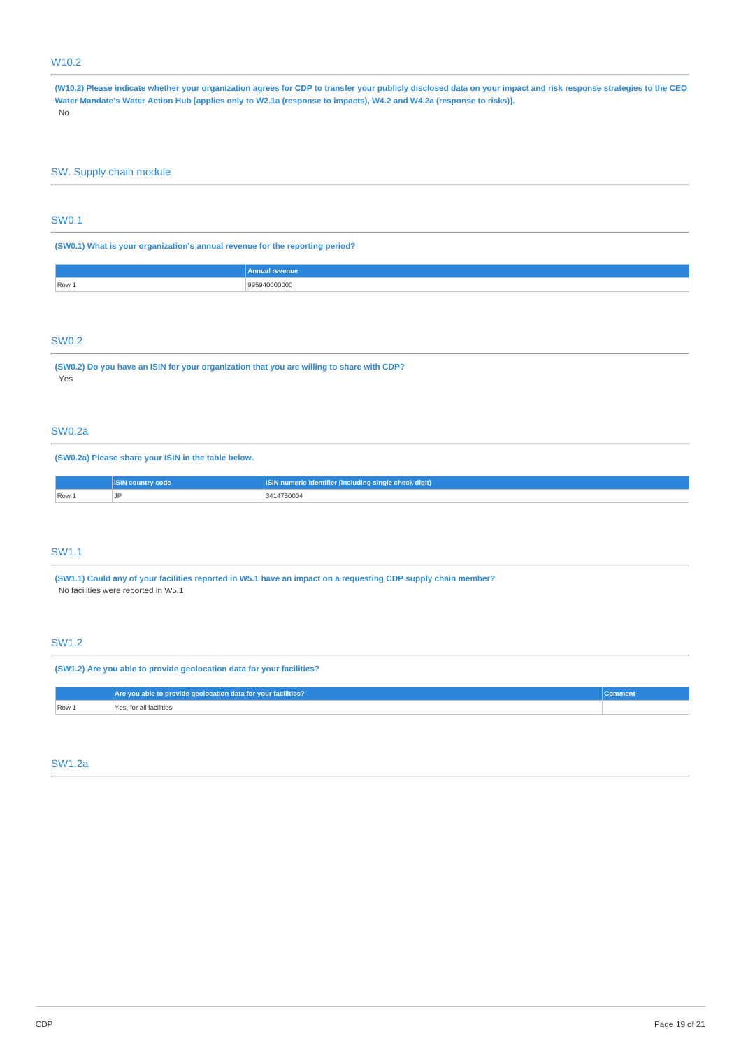## W10.2

(W10.2) Please indicate whether your organization agrees for CDP to transfer your publicly disclosed data on your impact and risk response strategies to the CEO Water Mandate's Water Action Hub [applies only to W2.1a (response to impacts), W4.2 and W4.2a (response to risks)]. No

## SW. Supply chain module

### SW0.1

**(SW0.1) What is your organization's annual revenue for the reporting period?**

|            | .<br>           |
|------------|-----------------|
| $  Row_1 $ | )()()()()(<br>. |
|            |                 |

## SW0.2

**(SW0.2) Do you have an ISIN for your organization that you are willing to share with CDP?** Yes

## SW0.2a

#### **(SW0.2a) Please share your ISIN in the table below.**

|       | <b>ISIN country code</b> | <b>ISIN</b> numeric identifier (including single check digit) |  |
|-------|--------------------------|---------------------------------------------------------------|--|
| Row 1 | ◡                        | 3414750004                                                    |  |

## SW1.1

(SW1.1) Could any of your facilities reported in W5.1 have an impact on a requesting CDP supply chain member? No facilities were reported in W5.1

## SW1.2

### **(SW1.2) Are you able to provide geolocation data for your facilities?**

|       | Are you able to provide geolocation data for your facilities? | Comment |
|-------|---------------------------------------------------------------|---------|
| Row 1 | Yes, for all facilities                                       |         |

### SW1.2a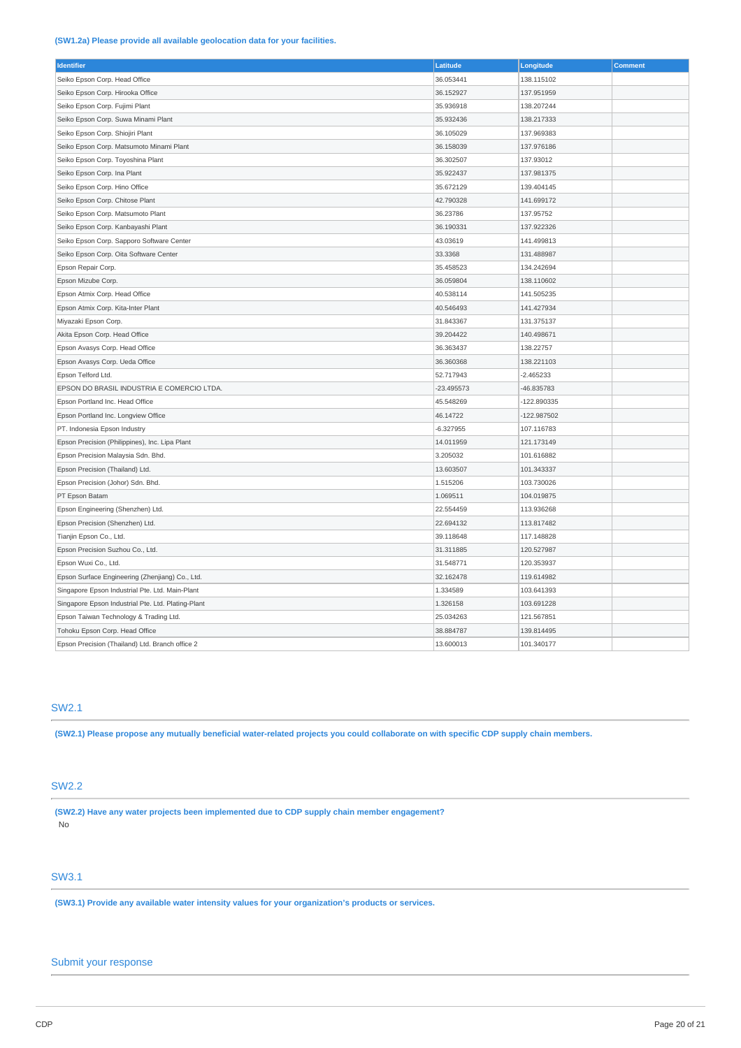### **(SW1.2a) Please provide all available geolocation data for your facilities.**

| <b>Identifier</b>                                  | Latitude     | Longitude     | <b>Comment</b> |
|----------------------------------------------------|--------------|---------------|----------------|
| Seiko Epson Corp. Head Office                      | 36.053441    | 138.115102    |                |
| Seiko Epson Corp. Hirooka Office                   | 36.152927    | 137.951959    |                |
| Seiko Epson Corp. Fujimi Plant                     | 35.936918    | 138.207244    |                |
| Seiko Epson Corp. Suwa Minami Plant                | 35.932436    | 138.217333    |                |
| Seiko Epson Corp. Shiojiri Plant                   | 36.105029    | 137.969383    |                |
| Seiko Epson Corp. Matsumoto Minami Plant           | 36.158039    | 137.976186    |                |
| Seiko Epson Corp. Toyoshina Plant                  | 36.302507    | 137.93012     |                |
| Seiko Epson Corp. Ina Plant                        | 35.922437    | 137.981375    |                |
| Seiko Epson Corp. Hino Office                      | 35.672129    | 139.404145    |                |
| Seiko Epson Corp. Chitose Plant                    | 42.790328    | 141.699172    |                |
| Seiko Epson Corp. Matsumoto Plant                  | 36.23786     | 137.95752     |                |
| Seiko Epson Corp. Kanbayashi Plant                 | 36.190331    | 137.922326    |                |
| Seiko Epson Corp. Sapporo Software Center          | 43.03619     | 141.499813    |                |
| Seiko Epson Corp. Oita Software Center             | 33.3368      | 131.488987    |                |
| Epson Repair Corp.                                 | 35.458523    | 134.242694    |                |
| Epson Mizube Corp.                                 | 36.059804    | 138.110602    |                |
| Epson Atmix Corp. Head Office                      | 40.538114    | 141.505235    |                |
| Epson Atmix Corp. Kita-Inter Plant                 | 40.546493    | 141.427934    |                |
| Miyazaki Epson Corp.                               | 31.843367    | 131.375137    |                |
| Akita Epson Corp. Head Office                      | 39.204422    | 140.498671    |                |
| Epson Avasys Corp. Head Office                     | 36.363437    | 138.22757     |                |
| Epson Avasys Corp. Ueda Office                     | 36.360368    | 138.221103    |                |
| Epson Telford Ltd.                                 | 52.717943    | $-2.465233$   |                |
| EPSON DO BRASIL INDUSTRIA E COMERCIO LTDA.         | $-23.495573$ | -46.835783    |                |
| Epson Portland Inc. Head Office                    | 45.548269    | -122.890335   |                |
| Epson Portland Inc. Longview Office                | 46.14722     | $-122.987502$ |                |
| PT. Indonesia Epson Industry                       | $-6.327955$  | 107.116783    |                |
| Epson Precision (Philippines), Inc. Lipa Plant     | 14.011959    | 121.173149    |                |
| Epson Precision Malaysia Sdn. Bhd.                 | 3.205032     | 101.616882    |                |
| Epson Precision (Thailand) Ltd.                    | 13.603507    | 101.343337    |                |
| Epson Precision (Johor) Sdn. Bhd.                  | 1.515206     | 103.730026    |                |
| PT Epson Batam                                     | 1.069511     | 104.019875    |                |
| Epson Engineering (Shenzhen) Ltd.                  | 22.554459    | 113.936268    |                |
| Epson Precision (Shenzhen) Ltd.                    | 22.694132    | 113.817482    |                |
| Tianjin Epson Co., Ltd.                            | 39.118648    | 117.148828    |                |
| Epson Precision Suzhou Co., Ltd.                   | 31.311885    | 120.527987    |                |
| Epson Wuxi Co., Ltd.                               | 31.548771    | 120.353937    |                |
| Epson Surface Engineering (Zhenjiang) Co., Ltd.    | 32.162478    | 119.614982    |                |
| Singapore Epson Industrial Pte. Ltd. Main-Plant    | 1.334589     | 103.641393    |                |
| Singapore Epson Industrial Pte. Ltd. Plating-Plant | 1.326158     | 103.691228    |                |
| Epson Taiwan Technology & Trading Ltd.             | 25.034263    | 121.567851    |                |
| Tohoku Epson Corp. Head Office                     | 38.884787    | 139.814495    |                |
| Epson Precision (Thailand) Ltd. Branch office 2    | 13.600013    | 101.340177    |                |

# SW2.1

(SW2.1) Please propose any mutually beneficial water-related projects you could collaborate on with specific CDP supply chain members.

# SW2.2

**(SW2.2) Have any water projects been implemented due to CDP supply chain member engagement?** No

## SW3.1

**(SW3.1) Provide any available water intensity values for your organization's products or services.**

# Submit your response